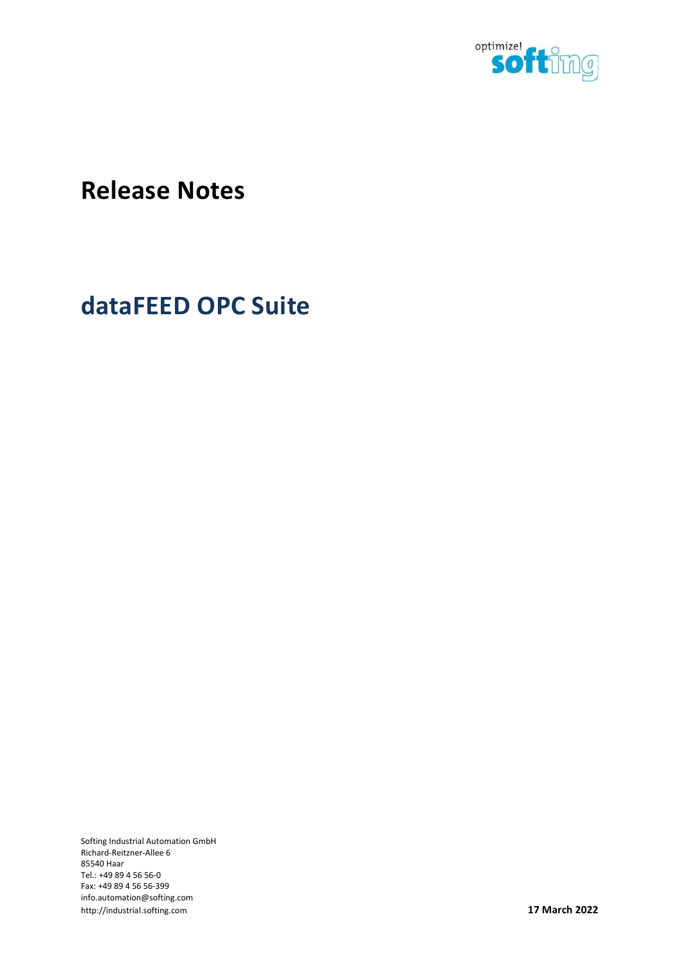

# Release Notes

# dataFEED OPC Suite

Softing Industrial Automation GmbH Richard-Reitzner-Allee 6 85540 Haar Tel.: +49 89 4 56 56-0 Fax: +49 89 4 56 56-399 info.automation@softing.com http://industrial.softing.com **17 March 2022**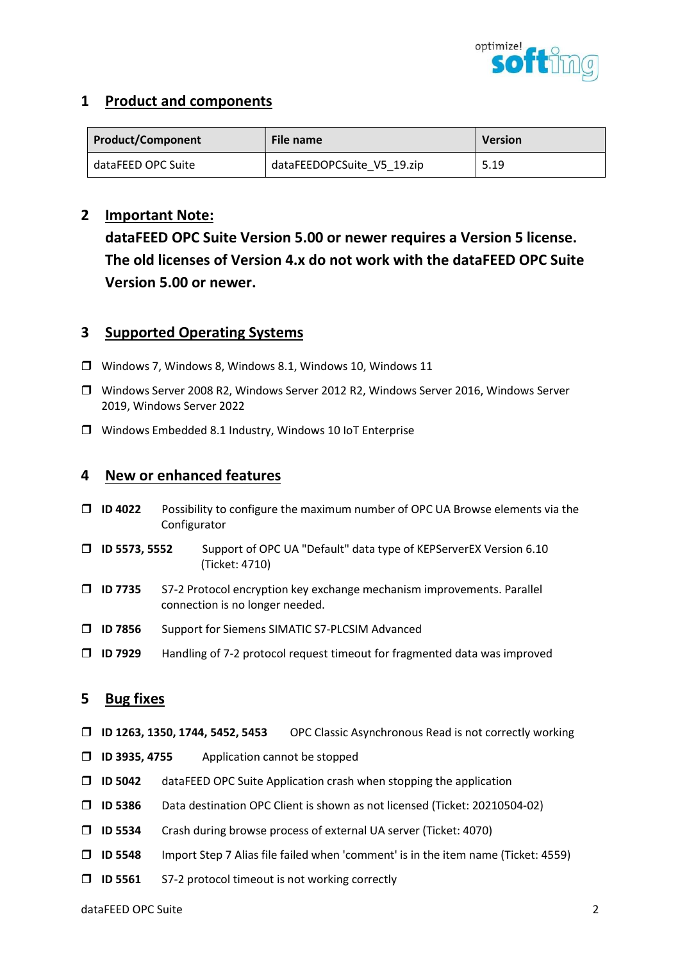

# 1 Product and components

| <b>Product/Component</b> | File name                  | <b>Version</b> |  |
|--------------------------|----------------------------|----------------|--|
| dataFEED OPC Suite       | dataFEEDOPCSuite V5 19.zip | 5.19           |  |

# 2 Important Note:

dataFEED OPC Suite Version 5.00 or newer requires a Version 5 license. The old licenses of Version 4.x do not work with the dataFEED OPC Suite Version 5.00 or newer.

# 3 Supported Operating Systems

- Windows 7, Windows 8, Windows 8.1, Windows 10, Windows 11
- Windows Server 2008 R2, Windows Server 2012 R2, Windows Server 2016, Windows Server 2019, Windows Server 2022
- Windows Embedded 8.1 Industry, Windows 10 IoT Enterprise

# 4 New or enhanced features

- $\Box$  ID 4022 Possibility to configure the maximum number of OPC UA Browse elements via the Configurator
- ID 5573, 5552 Support of OPC UA "Default" data type of KEPServerEX Version 6.10 (Ticket: 4710)
- ID 7735 S7-2 Protocol encryption key exchange mechanism improvements. Parallel connection is no longer needed.
- ID 7856 Support for Siemens SIMATIC S7-PLCSIM Advanced
- $\Box$  ID 7929 Handling of 7-2 protocol request timeout for fragmented data was improved

## 5 Bug fixes

- ID 1263, 1350, 1744, 5452, 5453 OPC Classic Asynchronous Read is not correctly working
- ID 3935, 4755 Application cannot be stopped
- $\Box$  ID 5042 dataFEED OPC Suite Application crash when stopping the application
- ID 5386 Data destination OPC Client is shown as not licensed (Ticket: 20210504-02)
- ID 5534 Crash during browse process of external UA server (Ticket: 4070)
- $\Box$  ID 5548 Import Step 7 Alias file failed when 'comment' is in the item name (Ticket: 4559)
- $\Box$  ID 5561 S7-2 protocol timeout is not working correctly

dataFEED OPC Suite 2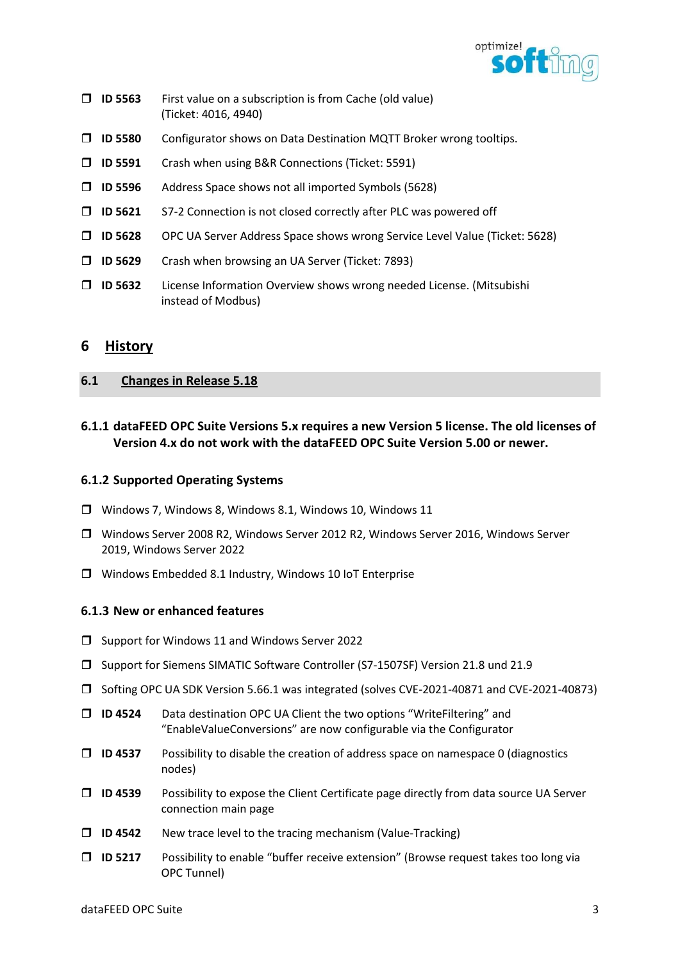

- $\Box$  ID 5563 First value on a subscription is from Cache (old value) (Ticket: 4016, 4940)
- ID 5580 Configurator shows on Data Destination MQTT Broker wrong tooltips.
- ID 5591 Crash when using B&R Connections (Ticket: 5591)
- ID 5596 Address Space shows not all imported Symbols (5628)
- $\Box$  ID 5621 S7-2 Connection is not closed correctly after PLC was powered off
- ID 5628 OPC UA Server Address Space shows wrong Service Level Value (Ticket: 5628)
- $\Box$  ID 5629 Crash when browsing an UA Server (Ticket: 7893)
- ID 5632 License Information Overview shows wrong needed License. (Mitsubishi instead of Modbus)

# 6 History

## 6.1 Changes in Release 5.18

6.1.1 dataFEED OPC Suite Versions 5.x requires a new Version 5 license. The old licenses of Version 4.x do not work with the dataFEED OPC Suite Version 5.00 or newer.

## 6.1.2 Supported Operating Systems

- Windows 7, Windows 8, Windows 8.1, Windows 10, Windows 11
- Windows Server 2008 R2, Windows Server 2012 R2, Windows Server 2016, Windows Server 2019, Windows Server 2022
- Windows Embedded 8.1 Industry, Windows 10 IoT Enterprise

## 6.1.3 New or enhanced features

- $\Box$  Support for Windows 11 and Windows Server 2022
- Support for Siemens SIMATIC Software Controller (S7-1507SF) Version 21.8 und 21.9
- Softing OPC UA SDK Version 5.66.1 was integrated (solves CVE-2021-40871 and CVE-2021-40873)
- □ ID 4524 Data destination OPC UA Client the two options "WriteFiltering" and "EnableValueConversions" are now configurable via the Configurator
- $\Box$  ID 4537 Possibility to disable the creation of address space on namespace 0 (diagnostics nodes)
- $\Box$  ID 4539 Possibility to expose the Client Certificate page directly from data source UA Server connection main page
- $\Box$  ID 4542 New trace level to the tracing mechanism (Value-Tracking)
- ID 5217 Possibility to enable "buffer receive extension" (Browse request takes too long via OPC Tunnel)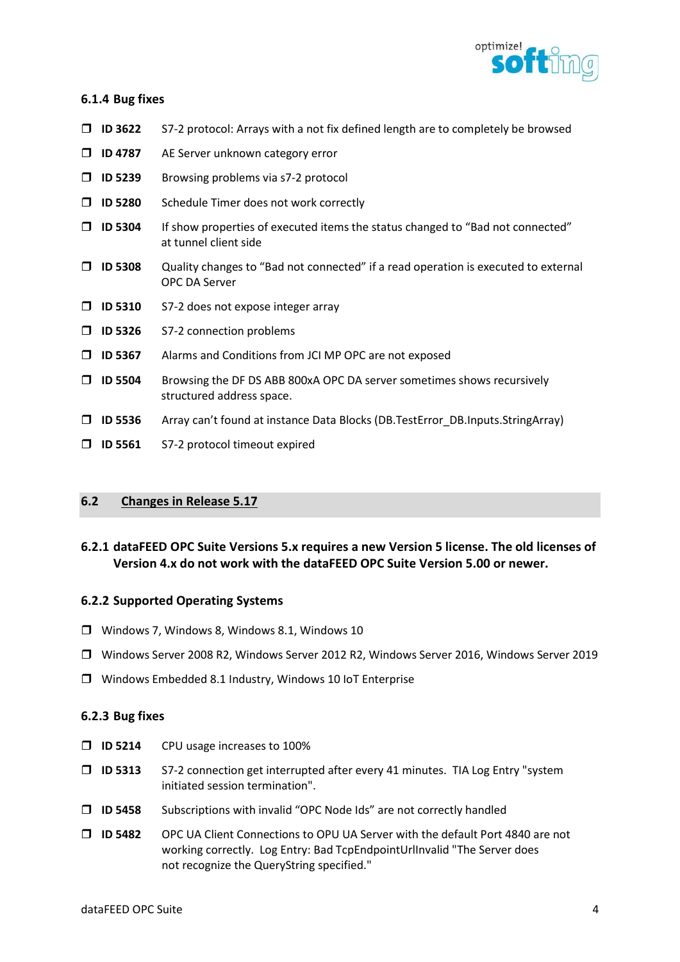

## 6.1.4 Bug fixes

- $\Box$  ID 3622 S7-2 protocol: Arrays with a not fix defined length are to completely be browsed
- **ID 4787** AE Server unknown category error
- **ID 5239** Browsing problems via s7-2 protocol
- □ ID 5280 Schedule Timer does not work correctly
- $\Box$  ID 5304 If show properties of executed items the status changed to "Bad not connected" at tunnel client side
- $\Box$  ID 5308 Quality changes to "Bad not connected" if a read operation is executed to external OPC DA Server
- $\Box$  ID 5310 S7-2 does not expose integer array
- $\Box$  ID 5326 S7-2 connection problems
- ID 5367 Alarms and Conditions from JCI MP OPC are not exposed
- ID 5504 Browsing the DF DS ABB 800xA OPC DA server sometimes shows recursively structured address space.
- ID 5536 Array can't found at instance Data Blocks (DB.TestError\_DB.Inputs.StringArray)
- **ID 5561** S7-2 protocol timeout expired

## 6.2 Changes in Release 5.17

# 6.2.1 dataFEED OPC Suite Versions 5.x requires a new Version 5 license. The old licenses of Version 4.x do not work with the dataFEED OPC Suite Version 5.00 or newer.

## 6.2.2 Supported Operating Systems

- Windows 7, Windows 8, Windows 8.1, Windows 10
- Windows Server 2008 R2, Windows Server 2012 R2, Windows Server 2016, Windows Server 2019
- Windows Embedded 8.1 Industry, Windows 10 IoT Enterprise

## 6.2.3 Bug fixes

- **ID 5214** CPU usage increases to 100%
- $\Box$  ID 5313 S7-2 connection get interrupted after every 41 minutes. TIA Log Entry "system initiated session termination".
- $\Box$  ID 5458 Subscriptions with invalid "OPC Node Ids" are not correctly handled
- ID 5482 OPC UA Client Connections to OPU UA Server with the default Port 4840 are not working correctly. Log Entry: Bad TcpEndpointUrlInvalid "The Server does not recognize the QueryString specified."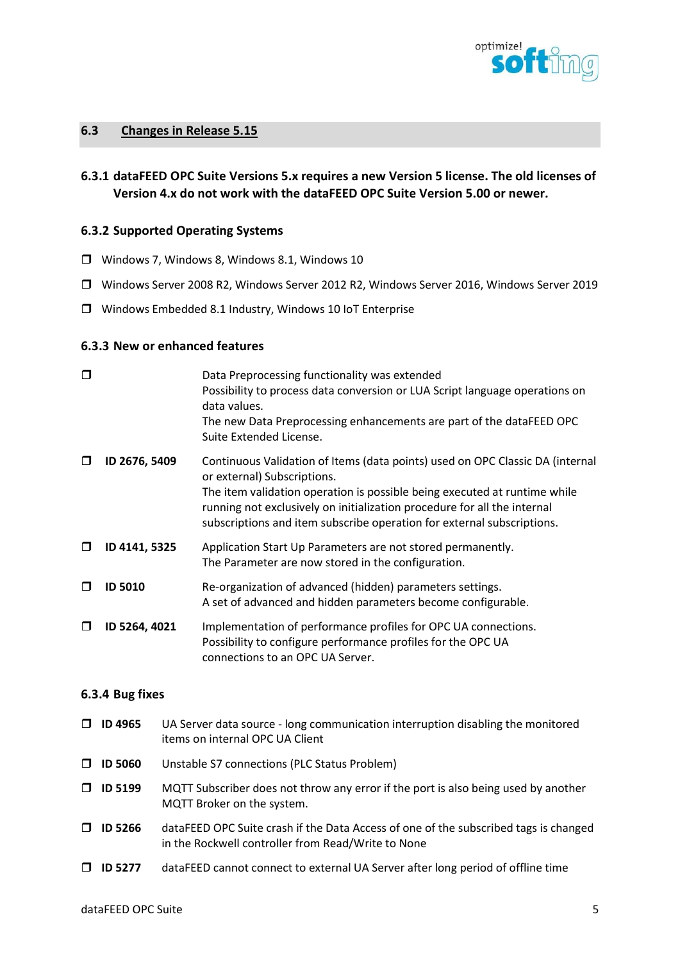

## 6.3 Changes in Release 5.15

6.3.1 dataFEED OPC Suite Versions 5.x requires a new Version 5 license. The old licenses of Version 4.x do not work with the dataFEED OPC Suite Version 5.00 or newer.

#### 6.3.2 Supported Operating Systems

- Windows 7, Windows 8, Windows 8.1, Windows 10
- Windows Server 2008 R2, Windows Server 2012 R2, Windows Server 2016, Windows Server 2019
- Windows Embedded 8.1 Industry, Windows 10 IoT Enterprise

## 6.3.3 New or enhanced features

| □      |                | Data Preprocessing functionality was extended<br>Possibility to process data conversion or LUA Script language operations on<br>data values.<br>The new Data Preprocessing enhancements are part of the dataFEED OPC<br>Suite Extended License.                                                                                                 |
|--------|----------------|-------------------------------------------------------------------------------------------------------------------------------------------------------------------------------------------------------------------------------------------------------------------------------------------------------------------------------------------------|
| $\Box$ | ID 2676, 5409  | Continuous Validation of Items (data points) used on OPC Classic DA (internal<br>or external) Subscriptions.<br>The item validation operation is possible being executed at runtime while<br>running not exclusively on initialization procedure for all the internal<br>subscriptions and item subscribe operation for external subscriptions. |
| ◻      | ID 4141, 5325  | Application Start Up Parameters are not stored permanently.<br>The Parameter are now stored in the configuration.                                                                                                                                                                                                                               |
| $\Box$ | <b>ID 5010</b> | Re-organization of advanced (hidden) parameters settings.<br>A set of advanced and hidden parameters become configurable.                                                                                                                                                                                                                       |
| ◘      | ID 5264, 4021  | Implementation of performance profiles for OPC UA connections.<br>Possibility to configure performance profiles for the OPC UA<br>connections to an OPC UA Server.                                                                                                                                                                              |

#### 6.3.4 Bug fixes

- $\Box$  ID 4965 UA Server data source long communication interruption disabling the monitored items on internal OPC UA Client ID 5060 Unstable S7 connections (PLC Status Problem)  $\Box$  ID 5199 MQTT Subscriber does not throw any error if the port is also being used by another MQTT Broker on the system.  $\Box$  ID 5266 dataFEED OPC Suite crash if the Data Access of one of the subscribed tags is changed in the Rockwell controller from Read/Write to None
- $\Box$  ID 5277 dataFEED cannot connect to external UA Server after long period of offline time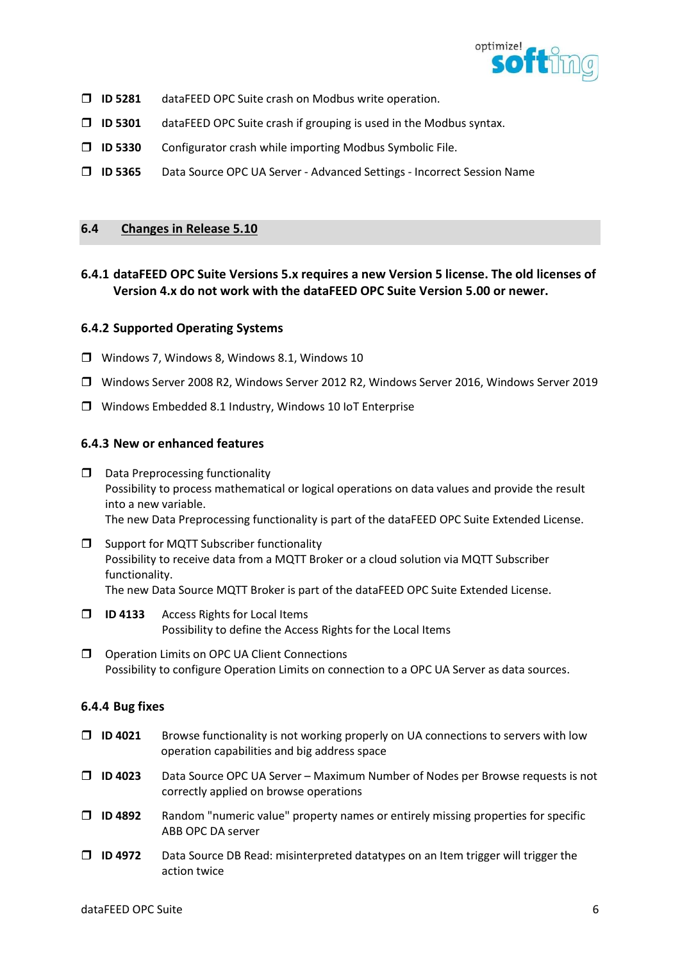

- $\Box$  ID 5281 dataFEED OPC Suite crash on Modbus write operation.
- $\Box$  ID 5301 dataFEED OPC Suite crash if grouping is used in the Modbus syntax.
- $\Box$  ID 5330 Configurator crash while importing Modbus Symbolic File.
- ID 5365 Data Source OPC UA Server Advanced Settings Incorrect Session Name

## 6.4 Changes in Release 5.10

# 6.4.1 dataFEED OPC Suite Versions 5.x requires a new Version 5 license. The old licenses of Version 4.x do not work with the dataFEED OPC Suite Version 5.00 or newer.

## 6.4.2 Supported Operating Systems

- Windows 7, Windows 8, Windows 8.1, Windows 10
- Windows Server 2008 R2, Windows Server 2012 R2, Windows Server 2016, Windows Server 2019
- Windows Embedded 8.1 Industry, Windows 10 IoT Enterprise

## 6.4.3 New or enhanced features

- $\square$  Data Preprocessing functionality Possibility to process mathematical or logical operations on data values and provide the result into a new variable. The new Data Preprocessing functionality is part of the dataFEED OPC Suite Extended License.
- $\square$  Support for MQTT Subscriber functionality Possibility to receive data from a MQTT Broker or a cloud solution via MQTT Subscriber functionality. The new Data Source MQTT Broker is part of the dataFEED OPC Suite Extended License.
- **ID 4133** Access Rights for Local Items Possibility to define the Access Rights for the Local Items
- **O** Operation Limits on OPC UA Client Connections Possibility to configure Operation Limits on connection to a OPC UA Server as data sources.

## 6.4.4 Bug fixes

- $\Box$  ID 4021 Browse functionality is not working properly on UA connections to servers with low operation capabilities and big address space
- ID 4023 Data Source OPC UA Server Maximum Number of Nodes per Browse requests is not correctly applied on browse operations
- $\Box$  ID 4892 Random "numeric value" property names or entirely missing properties for specific ABB OPC DA server
- $\Box$  ID 4972 Data Source DB Read: misinterpreted datatypes on an Item trigger will trigger the action twice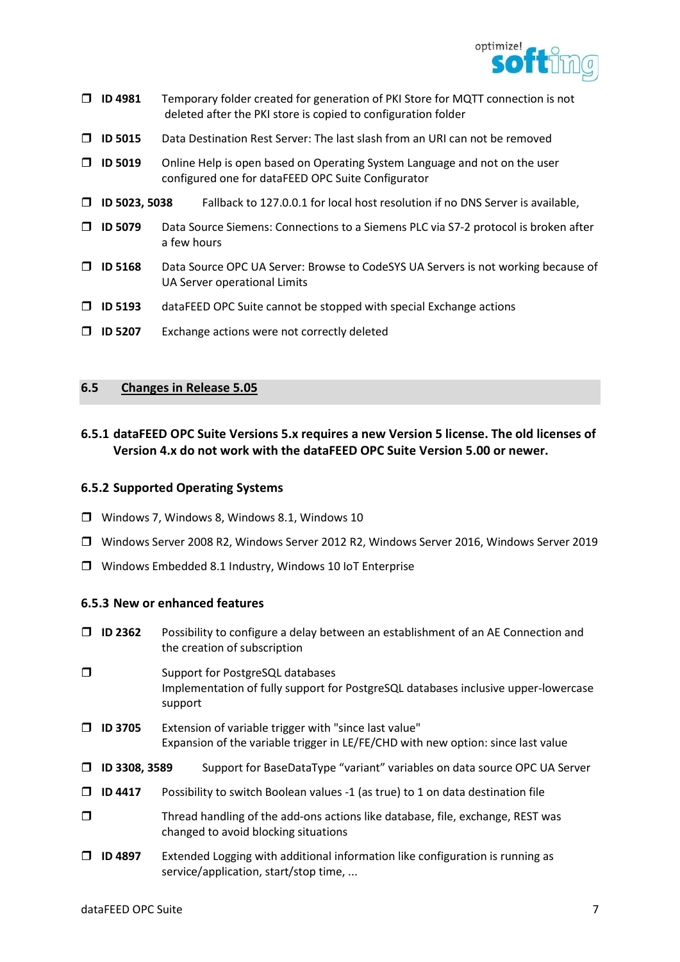

| ⊓      | ID 4981        | Temporary folder created for generation of PKI Store for MQTT connection is not<br>deleted after the PKI store is copied to configuration folder |
|--------|----------------|--------------------------------------------------------------------------------------------------------------------------------------------------|
| П      | <b>ID 5015</b> | Data Destination Rest Server: The last slash from an URI can not be removed                                                                      |
| П      | <b>ID 5019</b> | Online Help is open based on Operating System Language and not on the user<br>configured one for dataFEED OPC Suite Configurator                 |
| $\Box$ | ID 5023, 5038  | Fallback to 127.0.0.1 for local host resolution if no DNS Server is available,                                                                   |
| П      | <b>ID 5079</b> | Data Source Siemens: Connections to a Siemens PLC via S7-2 protocol is broken after<br>a few hours                                               |
| П      | <b>ID 5168</b> | Data Source OPC UA Server: Browse to CodeSYS UA Servers is not working because of<br>UA Server operational Limits                                |
| П      | <b>ID 5193</b> | dataFEED OPC Suite cannot be stopped with special Exchange actions                                                                               |
|        | <b>ID 5207</b> | Exchange actions were not correctly deleted                                                                                                      |
|        |                |                                                                                                                                                  |

# 6.5 Changes in Release 5.05

# 6.5.1 dataFEED OPC Suite Versions 5.x requires a new Version 5 license. The old licenses of Version 4.x do not work with the dataFEED OPC Suite Version 5.00 or newer.

## 6.5.2 Supported Operating Systems

- Windows 7, Windows 8, Windows 8.1, Windows 10
- Windows Server 2008 R2, Windows Server 2012 R2, Windows Server 2016, Windows Server 2019
- Windows Embedded 8.1 Industry, Windows 10 IoT Enterprise

## 6.5.3 New or enhanced features

| Π.     | <b>ID 2362</b> | Possibility to configure a delay between an establishment of an AE Connection and<br>the creation of subscription                         |
|--------|----------------|-------------------------------------------------------------------------------------------------------------------------------------------|
| ◘      |                | Support for PostgreSQL databases<br>Implementation of fully support for PostgreSQL databases inclusive upper-lowercase<br>support         |
| $\Box$ | <b>ID 3705</b> | Extension of variable trigger with "since last value"<br>Expansion of the variable trigger in LE/FE/CHD with new option: since last value |
| □      | ID 3308, 3589  | Support for BaseDataType "variant" variables on data source OPC UA Server                                                                 |
| $\Box$ | <b>ID 4417</b> | Possibility to switch Boolean values -1 (as true) to 1 on data destination file                                                           |
| $\Box$ |                | Thread handling of the add-ons actions like database, file, exchange, REST was<br>changed to avoid blocking situations                    |
| ⊓      | <b>ID 4897</b> | Extended Logging with additional information like configuration is running as<br>service/application, start/stop time,                    |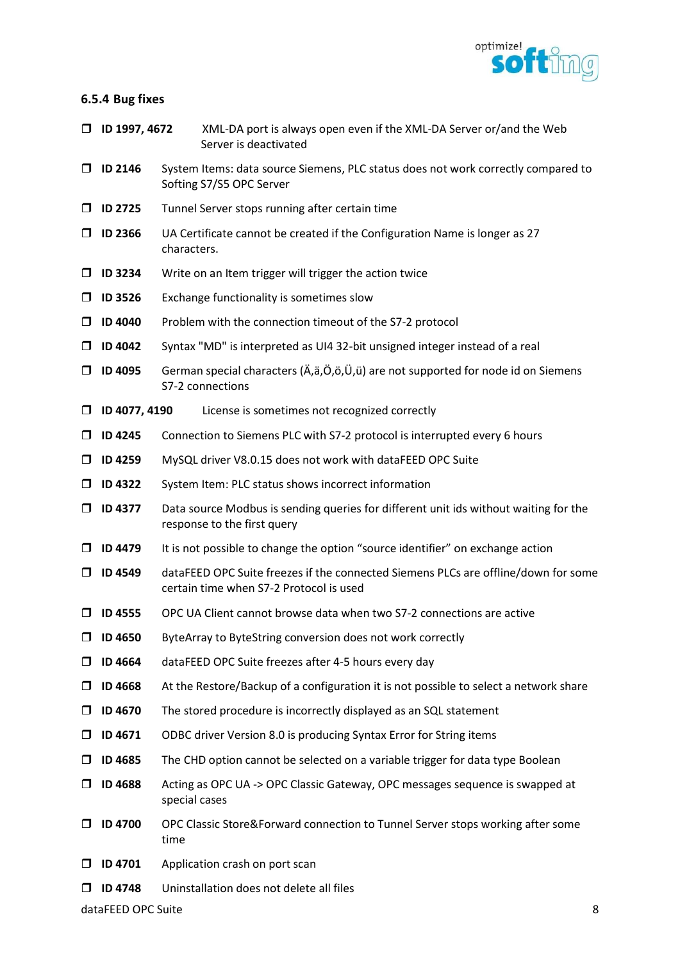

## 6.5.4 Bug fixes

- ID 1997, 4672 XML-DA port is always open even if the XML-DA Server or/and the Web Server is deactivated
- ID 2146 System Items: data source Siemens, PLC status does not work correctly compared to Softing S7/S5 OPC Server
- $\Box$  ID 2725 Tunnel Server stops running after certain time
- $\Box$  ID 2366 UA Certificate cannot be created if the Configuration Name is longer as 27 characters.
- $\Box$  ID 3234 Write on an Item trigger will trigger the action twice
- $\Box$  ID 3526 Exchange functionality is sometimes slow
- $\Box$  ID 4040 Problem with the connection timeout of the S7-2 protocol
- $\Box$  ID 4042 Syntax "MD" is interpreted as UI4 32-bit unsigned integer instead of a real
- $\Box$  ID 4095 German special characters ( $\ddot{A}, \ddot{a}, \ddot{O}, \ddot{O}, \ddot{U}, \ddot{u}$ ) are not supported for node id on Siemens S7-2 connections
- ID 4077, 4190 License is sometimes not recognized correctly
- $\Box$  ID 4245 Connection to Siemens PLC with S7-2 protocol is interrupted every 6 hours
- ID 4259 MySQL driver V8.0.15 does not work with dataFEED OPC Suite
- $\Box$  ID 4322 System Item: PLC status shows incorrect information
- $\Box$  ID 4377 Data source Modbus is sending queries for different unit ids without waiting for the response to the first query
- $\Box$  ID 4479 It is not possible to change the option "source identifier" on exchange action
- □ ID 4549 dataFEED OPC Suite freezes if the connected Siemens PLCs are offline/down for some certain time when S7-2 Protocol is used
- $\Box$  ID 4555 OPC UA Client cannot browse data when two S7-2 connections are active
- $\Box$  ID 4650 ByteArray to ByteString conversion does not work correctly
- ID 4664 dataFEED OPC Suite freezes after 4-5 hours every day
- $\Box$  ID 4668 At the Restore/Backup of a configuration it is not possible to select a network share
- $\Box$  ID 4670 The stored procedure is incorrectly displayed as an SQL statement
- $\Box$  ID 4671 ODBC driver Version 8.0 is producing Syntax Error for String items
- $\Box$  ID 4685 The CHD option cannot be selected on a variable trigger for data type Boolean
- ID 4688 Acting as OPC UA -> OPC Classic Gateway, OPC messages sequence is swapped at special cases
- $\Box$  ID 4700 OPC Classic Store&Forward connection to Tunnel Server stops working after some time
- $\Box$  ID 4701 Application crash on port scan
- $\Box$  ID 4748 Uninstallation does not delete all files

dataFFED OPC Suite 8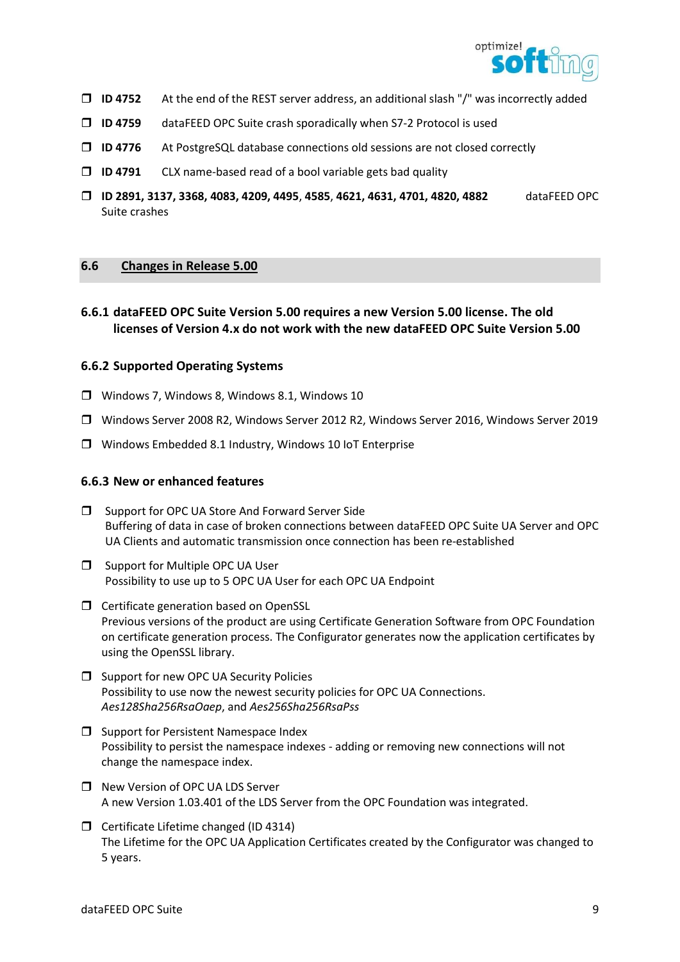

- $\Box$  ID 4752 At the end of the REST server address, an additional slash "/" was incorrectly added
- ID 4759 dataFEED OPC Suite crash sporadically when S7-2 Protocol is used
- $\Box$  ID 4776 At PostgreSQL database connections old sessions are not closed correctly
- $\Box$  ID 4791 CLX name-based read of a bool variable gets bad quality
- ID 2891, 3137, 3368, 4083, 4209, 4495, 4585, 4621, 4631, 4701, 4820, 4882 dataFEED OPC Suite crashes

## 6.6 Changes in Release 5.00

# 6.6.1 dataFEED OPC Suite Version 5.00 requires a new Version 5.00 license. The old licenses of Version 4.x do not work with the new dataFEED OPC Suite Version 5.00

#### 6.6.2 Supported Operating Systems

- Windows 7, Windows 8, Windows 8.1, Windows 10
- Windows Server 2008 R2, Windows Server 2012 R2, Windows Server 2016, Windows Server 2019
- Windows Embedded 8.1 Industry, Windows 10 IoT Enterprise

#### 6.6.3 New or enhanced features

- $\square$  Support for OPC UA Store And Forward Server Side Buffering of data in case of broken connections between dataFEED OPC Suite UA Server and OPC UA Clients and automatic transmission once connection has been re-established
- $\Box$  Support for Multiple OPC UA User Possibility to use up to 5 OPC UA User for each OPC UA Endpoint
- Certificate generation based on OpenSSL Previous versions of the product are using Certificate Generation Software from OPC Foundation on certificate generation process. The Configurator generates now the application certificates by using the OpenSSL library.
- $\Box$  Support for new OPC UA Security Policies Possibility to use now the newest security policies for OPC UA Connections. Aes128Sha256RsaOaep, and Aes256Sha256RsaPss
- $\square$  Support for Persistent Namespace Index Possibility to persist the namespace indexes - adding or removing new connections will not change the namespace index.
- □ New Version of OPC UA LDS Server A new Version 1.03.401 of the LDS Server from the OPC Foundation was integrated.
- $\Box$  Certificate Lifetime changed (ID 4314) The Lifetime for the OPC UA Application Certificates created by the Configurator was changed to 5 years.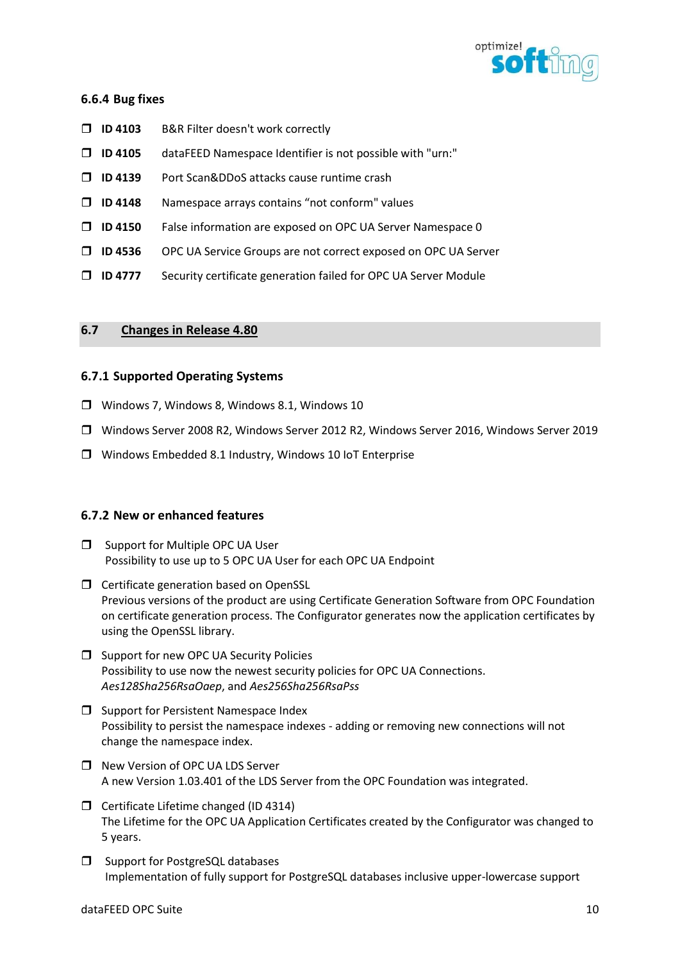

## 6.6.4 Bug fixes

- □ ID 4103 B&R Filter doesn't work correctly
- $\Box$  ID 4105 dataFEED Namespace Identifier is not possible with "urn:"
- □ ID 4139 Port Scan&DDoS attacks cause runtime crash
- $\Box$  ID 4148 Namespace arrays contains "not conform" values
- ID 4150 False information are exposed on OPC UA Server Namespace 0
- ID 4536 OPC UA Service Groups are not correct exposed on OPC UA Server
- □ ID 4777 Security certificate generation failed for OPC UA Server Module

## 6.7 Changes in Release 4.80

## 6.7.1 Supported Operating Systems

- Windows 7, Windows 8, Windows 8.1, Windows 10
- Windows Server 2008 R2, Windows Server 2012 R2, Windows Server 2016, Windows Server 2019
- Windows Embedded 8.1 Industry, Windows 10 IoT Enterprise

## 6.7.2 New or enhanced features

- $\square$  Support for Multiple OPC UA User Possibility to use up to 5 OPC UA User for each OPC UA Endpoint
- $\Box$  Certificate generation based on OpenSSL Previous versions of the product are using Certificate Generation Software from OPC Foundation on certificate generation process. The Configurator generates now the application certificates by using the OpenSSL library.
- □ Support for new OPC UA Security Policies Possibility to use now the newest security policies for OPC UA Connections. Aes128Sha256RsaOaep, and Aes256Sha256RsaPss
- $\square$  Support for Persistent Namespace Index Possibility to persist the namespace indexes - adding or removing new connections will not change the namespace index.
- □ New Version of OPC UA LDS Server A new Version 1.03.401 of the LDS Server from the OPC Foundation was integrated.
- $\Box$  Certificate Lifetime changed (ID 4314) The Lifetime for the OPC UA Application Certificates created by the Configurator was changed to 5 years.
- $\Box$  Support for PostgreSQL databases Implementation of fully support for PostgreSQL databases inclusive upper-lowercase support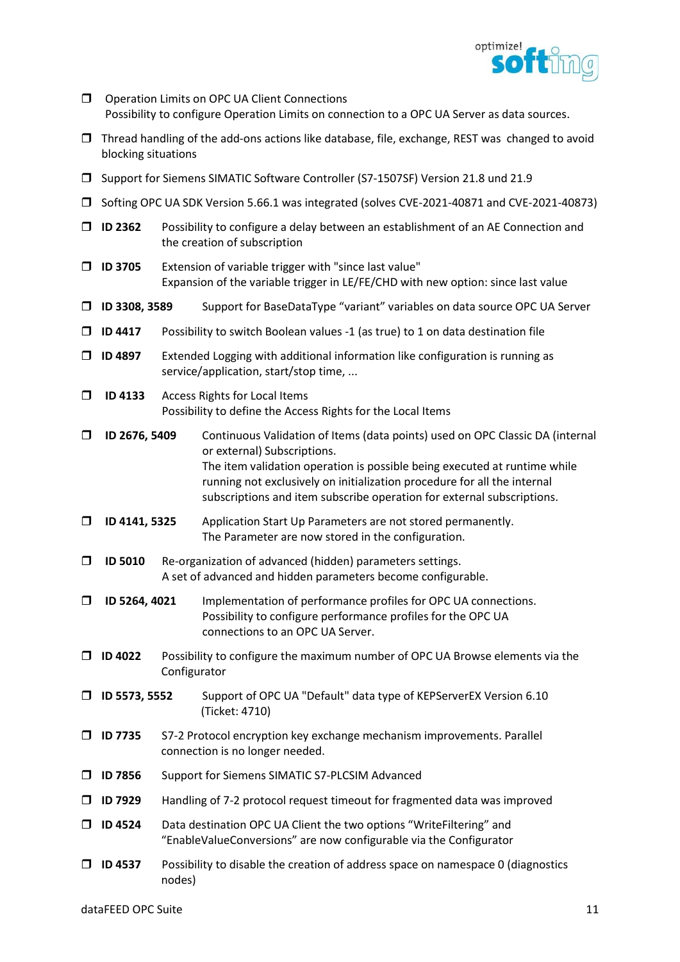

- O Operation Limits on OPC UA Client Connections Possibility to configure Operation Limits on connection to a OPC UA Server as data sources.
- $\Box$  Thread handling of the add-ons actions like database, file, exchange, REST was changed to avoid blocking situations
- Support for Siemens SIMATIC Software Controller (S7-1507SF) Version 21.8 und 21.9
- Softing OPC UA SDK Version 5.66.1 was integrated (solves CVE-2021-40871 and CVE-2021-40873)
- $\Box$  ID 2362 Possibility to configure a delay between an establishment of an AE Connection and the creation of subscription
- $\Box$  ID 3705 Extension of variable trigger with "since last value" Expansion of the variable trigger in LE/FE/CHD with new option: since last value
- ID 3308, 3589 Support for BaseDataType "variant" variables on data source OPC UA Server
- $\Box$  ID 4417 Possibility to switch Boolean values -1 (as true) to 1 on data destination file
- $\Box$  ID 4897 Extended Logging with additional information like configuration is running as service/application, start/stop time, ...
- **ID 4133** Access Rights for Local Items Possibility to define the Access Rights for the Local Items
- ID 2676, 5409 Continuous Validation of Items (data points) used on OPC Classic DA (internal or external) Subscriptions. The item validation operation is possible being executed at runtime while running not exclusively on initialization procedure for all the internal subscriptions and item subscribe operation for external subscriptions.
- ID 4141, 5325 Application Start Up Parameters are not stored permanently. The Parameter are now stored in the configuration.
- $\square$  ID 5010 Re-organization of advanced (hidden) parameters settings. A set of advanced and hidden parameters become configurable.
- ID 5264, 4021 Implementation of performance profiles for OPC UA connections. Possibility to configure performance profiles for the OPC UA connections to an OPC UA Server.
- $\Box$  ID 4022 Possibility to configure the maximum number of OPC UA Browse elements via the Configurator
- ID 5573, 5552 Support of OPC UA "Default" data type of KEPServerEX Version 6.10 (Ticket: 4710)
- ID 7735 S7-2 Protocol encryption key exchange mechanism improvements. Parallel connection is no longer needed.
- ID 7856 Support for Siemens SIMATIC S7-PLCSIM Advanced
- $\Box$  ID 7929 Handling of 7-2 protocol request timeout for fragmented data was improved
- □ ID 4524 Data destination OPC UA Client the two options "WriteFiltering" and "EnableValueConversions" are now configurable via the Configurator
- $\Box$  ID 4537 Possibility to disable the creation of address space on namespace 0 (diagnostics nodes)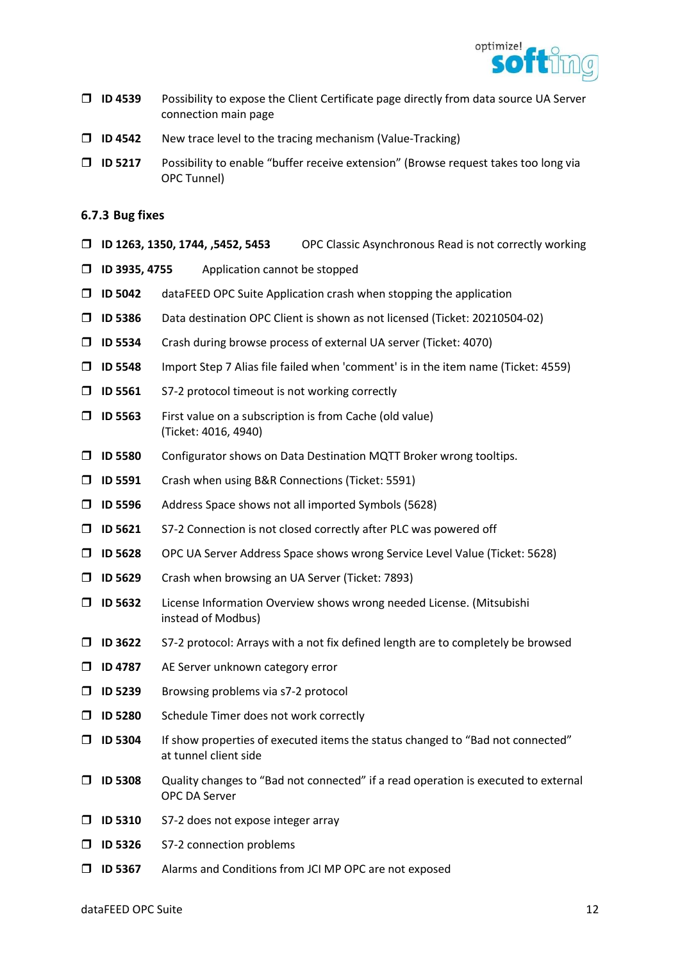

- $\Box$  ID 4539 Possibility to expose the Client Certificate page directly from data source UA Server connection main page
- $\Box$  ID 4542 New trace level to the tracing mechanism (Value-Tracking)
- $\Box$  ID 5217 Possibility to enable "buffer receive extension" (Browse request takes too long via OPC Tunnel)
- 6.7.3 Bug fixes
- ID 1263, 1350, 1744, ,5452, 5453 OPC Classic Asynchronous Read is not correctly working
- $\Box$  ID 3935, 4755 Application cannot be stopped
- $\Box$  ID 5042 dataFEED OPC Suite Application crash when stopping the application
- ID 5386 Data destination OPC Client is shown as not licensed (Ticket: 20210504-02)
- ID 5534 Crash during browse process of external UA server (Ticket: 4070)
- ID 5548 Import Step 7 Alias file failed when 'comment' is in the item name (Ticket: 4559)
- $\Box$  ID 5561 S7-2 protocol timeout is not working correctly
- $\Box$  ID 5563 First value on a subscription is from Cache (old value) (Ticket: 4016, 4940)
- ID 5580 Configurator shows on Data Destination MQTT Broker wrong tooltips.
- ID 5591 Crash when using B&R Connections (Ticket: 5591)
- $\Box$  ID 5596 Address Space shows not all imported Symbols (5628)
- $\Box$  ID 5621 S7-2 Connection is not closed correctly after PLC was powered off
- ID 5628 OPC UA Server Address Space shows wrong Service Level Value (Ticket: 5628)
- ID 5629 Crash when browsing an UA Server (Ticket: 7893)
- ID 5632 License Information Overview shows wrong needed License. (Mitsubishi instead of Modbus)
- $\Box$  ID 3622 S7-2 protocol: Arrays with a not fix defined length are to completely be browsed
- **ID 4787** AE Server unknown category error
- **ID 5239** Browsing problems via s7-2 protocol
- **ID 5280** Schedule Timer does not work correctly
- $\Box$  ID 5304 If show properties of executed items the status changed to "Bad not connected" at tunnel client side
- ID 5308 Quality changes to "Bad not connected" if a read operation is executed to external OPC DA Server
- **ID 5310** S7-2 does not expose integer array
- **ID 5326** S7-2 connection problems
- ID 5367 Alarms and Conditions from JCI MP OPC are not exposed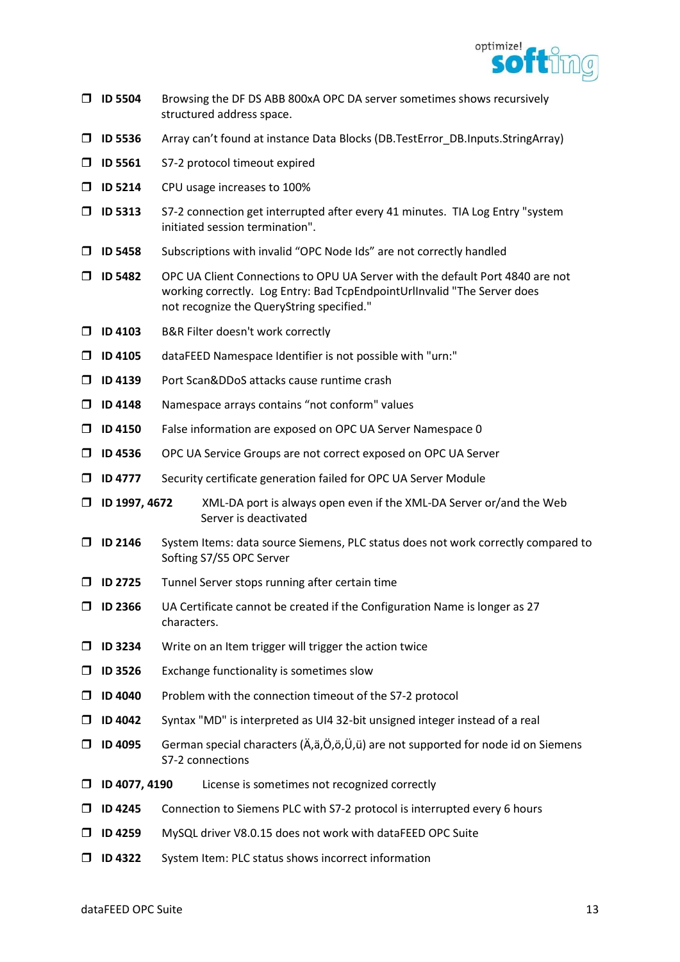

- ID 5504 Browsing the DF DS ABB 800xA OPC DA server sometimes shows recursively structured address space.
- ID 5536 Array can't found at instance Data Blocks (DB.TestError\_DB.Inputs.StringArray)
- **ID 5561** S7-2 protocol timeout expired
- **ID 5214** CPU usage increases to 100%
- $\Box$  ID 5313 S7-2 connection get interrupted after every 41 minutes. TIA Log Entry "system initiated session termination".
- ID 5458 Subscriptions with invalid "OPC Node Ids" are not correctly handled
- ID 5482 OPC UA Client Connections to OPU UA Server with the default Port 4840 are not working correctly. Log Entry: Bad TcpEndpointUrlInvalid "The Server does not recognize the QueryString specified."
- □ ID 4103 B&R Filter doesn't work correctly
- $\square$  ID 4105 dataFEED Namespace Identifier is not possible with "urn:"
- □ ID 4139 Port Scan&DDoS attacks cause runtime crash
- $\Box$  ID 4148 Namespace arrays contains "not conform" values
- ID 4150 False information are exposed on OPC UA Server Namespace 0
- ID 4536 OPC UA Service Groups are not correct exposed on OPC UA Server
- □ ID 4777 Security certificate generation failed for OPC UA Server Module
- □ ID 1997, 4672 XML-DA port is always open even if the XML-DA Server or/and the Web Server is deactivated
- ID 2146 System Items: data source Siemens, PLC status does not work correctly compared to Softing S7/S5 OPC Server
- $\Box$  ID 2725 Tunnel Server stops running after certain time
- $\Box$  ID 2366 UA Certificate cannot be created if the Configuration Name is longer as 27 characters.
- $\Box$  ID 3234 Write on an Item trigger will trigger the action twice
- $\square$  ID 3526 Exchange functionality is sometimes slow
- $\Box$  ID 4040 Problem with the connection timeout of the S7-2 protocol
- $\Box$  ID 4042 Syntax "MD" is interpreted as UI4 32-bit unsigned integer instead of a real
- $\Box$  ID 4095 German special characters ( $\ddot{A}, \ddot{a}, \ddot{O}, \ddot{O}, \ddot{O}, \ddot{O}, \ddot{O}$ ) are not supported for node id on Siemens S7-2 connections
- $\Box$  ID 4077, 4190 License is sometimes not recognized correctly
- $\Box$  ID 4245 Connection to Siemens PLC with S7-2 protocol is interrupted every 6 hours
- ID 4259 MySQL driver V8.0.15 does not work with dataFEED OPC Suite
- ID 4322 System Item: PLC status shows incorrect information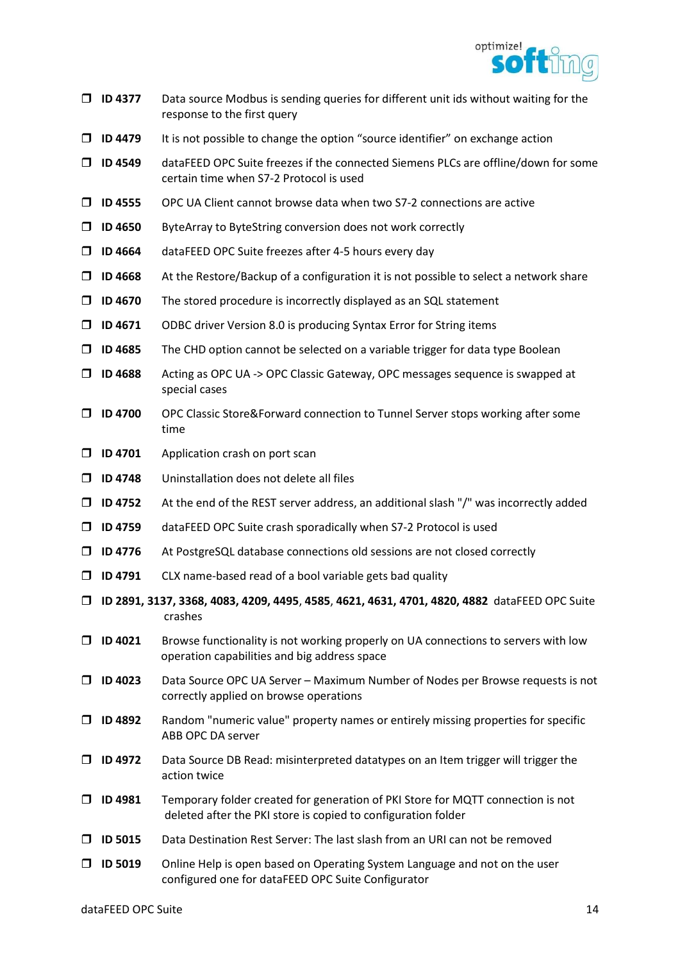

- $\Box$  ID 4377 Data source Modbus is sending queries for different unit ids without waiting for the response to the first query
- $\Box$  ID 4479 It is not possible to change the option "source identifier" on exchange action
- ID 4549 dataFEED OPC Suite freezes if the connected Siemens PLCs are offline/down for some certain time when S7-2 Protocol is used
- $\Box$  ID 4555 OPC UA Client cannot browse data when two S7-2 connections are active
- $\Box$  ID 4650 ByteArray to ByteString conversion does not work correctly
- $\Box$  ID 4664 dataFEED OPC Suite freezes after 4-5 hours every day
- $\Box$  ID 4668 At the Restore/Backup of a configuration it is not possible to select a network share
- $\Box$  ID 4670 The stored procedure is incorrectly displayed as an SQL statement
- $\Box$  ID 4671 ODBC driver Version 8.0 is producing Syntax Error for String items
- $\Box$  ID 4685 The CHD option cannot be selected on a variable trigger for data type Boolean
- ID 4688 Acting as OPC UA -> OPC Classic Gateway, OPC messages sequence is swapped at special cases
- □ ID 4700 OPC Classic Store&Forward connection to Tunnel Server stops working after some time
- $\Box$  ID 4701 Application crash on port scan
- $\Box$  ID 4748 Uninstallation does not delete all files
- $\Box$  ID 4752 At the end of the REST server address, an additional slash "/" was incorrectly added
- ID 4759 dataFEED OPC Suite crash sporadically when S7-2 Protocol is used
- $\Box$  ID 4776 At PostgreSQL database connections old sessions are not closed correctly
- $\Box$  ID 4791 CLX name-based read of a bool variable gets bad quality
- ID 2891, 3137, 3368, 4083, 4209, 4495, 4585, 4621, 4631, 4701, 4820, 4882 dataFEED OPC Suite crashes
- $\Box$  ID 4021 Browse functionality is not working properly on UA connections to servers with low operation capabilities and big address space
- $\Box$  ID 4023 Data Source OPC UA Server Maximum Number of Nodes per Browse requests is not correctly applied on browse operations
- $\square$  ID 4892 Random "numeric value" property names or entirely missing properties for specific ABB OPC DA server
- $\Box$  ID 4972 Data Source DB Read: misinterpreted datatypes on an Item trigger will trigger the action twice
- ID 4981 Temporary folder created for generation of PKI Store for MQTT connection is not deleted after the PKI store is copied to configuration folder
- $\Box$  ID 5015 Data Destination Rest Server: The last slash from an URI can not be removed
- $\Box$  ID 5019 Online Help is open based on Operating System Language and not on the user configured one for dataFEED OPC Suite Configurator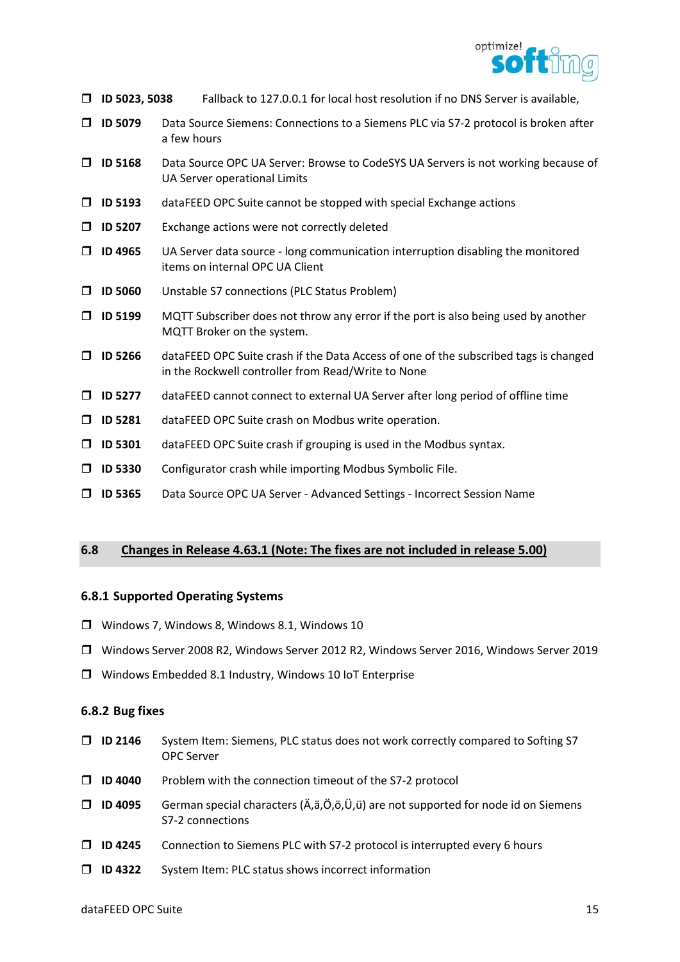

- ID 5023, 5038 Fallback to 127.0.0.1 for local host resolution if no DNS Server is available,
- ID 5079 Data Source Siemens: Connections to a Siemens PLC via S7-2 protocol is broken after a few hours
- ID 5168 Data Source OPC UA Server: Browse to CodeSYS UA Servers is not working because of UA Server operational Limits
- $\Box$  ID 5193 dataFEED OPC Suite cannot be stopped with special Exchange actions
- $\Box$  ID 5207 Exchange actions were not correctly deleted
- $\Box$  ID 4965 UA Server data source long communication interruption disabling the monitored items on internal OPC UA Client
- ID 5060 Unstable S7 connections (PLC Status Problem)
- $\Box$  ID 5199 MQTT Subscriber does not throw any error if the port is also being used by another MQTT Broker on the system.
- $\Box$  ID 5266 dataFEED OPC Suite crash if the Data Access of one of the subscribed tags is changed in the Rockwell controller from Read/Write to None
- $\Box$  ID 5277 dataFEED cannot connect to external UA Server after long period of offline time
- ID 5281 dataFEED OPC Suite crash on Modbus write operation.
- $\Box$  ID 5301 dataFEED OPC Suite crash if grouping is used in the Modbus syntax.
- $\Box$  ID 5330 Configurator crash while importing Modbus Symbolic File.
- ID 5365 Data Source OPC UA Server Advanced Settings Incorrect Session Name

## 6.8 Changes in Release 4.63.1 (Note: The fixes are not included in release 5.00)

#### 6.8.1 Supported Operating Systems

- Windows 7, Windows 8, Windows 8.1, Windows 10
- Windows Server 2008 R2, Windows Server 2012 R2, Windows Server 2016, Windows Server 2019
- Windows Embedded 8.1 Industry, Windows 10 IoT Enterprise

#### 6.8.2 Bug fixes

- □ ID 2146 System Item: Siemens, PLC status does not work correctly compared to Softing S7 OPC Server
- $\Box$  ID 4040 Problem with the connection timeout of the S7-2 protocol
- $\Box$  ID 4095 German special characters ( $\ddot{A}, \ddot{a}, \ddot{O}, \ddot{o}, \ddot{U}, \ddot{u}$ ) are not supported for node id on Siemens S7-2 connections
- $\Box$  ID 4245 Connection to Siemens PLC with S7-2 protocol is interrupted every 6 hours
- ID 4322 System Item: PLC status shows incorrect information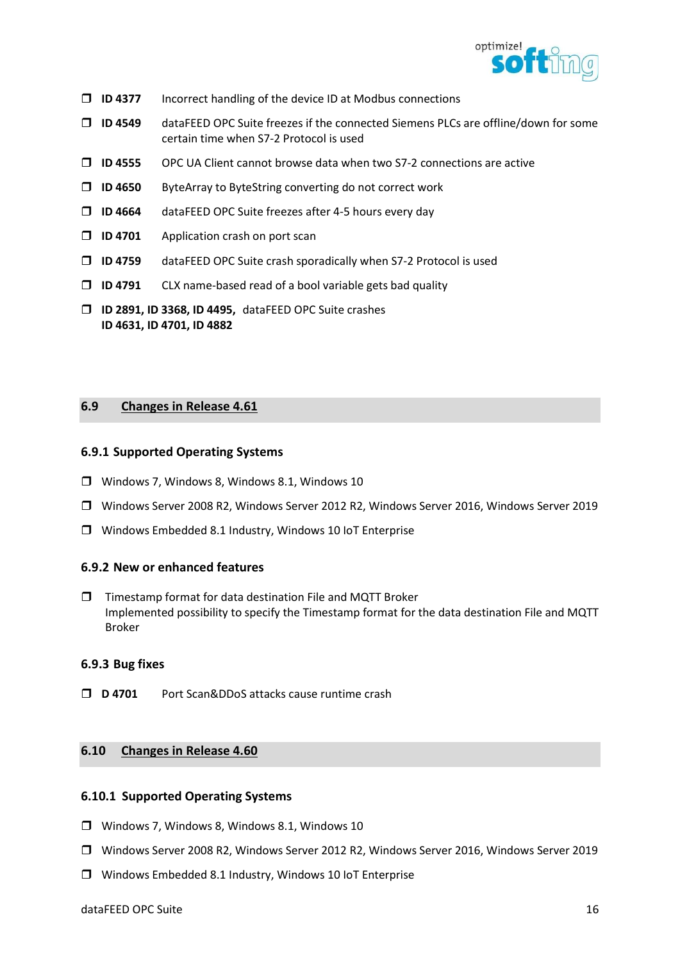

- $\Box$  ID 4377 Incorrect handling of the device ID at Modbus connections
- ID 4549 dataFEED OPC Suite freezes if the connected Siemens PLCs are offline/down for some certain time when S7-2 Protocol is used
- $\Box$  ID 4555 OPC UA Client cannot browse data when two S7-2 connections are active
- ID 4650 ByteArray to ByteString converting do not correct work
- $\Box$  ID 4664 dataFEED OPC Suite freezes after 4-5 hours every day
- $\Box$  ID 4701 Application crash on port scan
- ID 4759 dataFEED OPC Suite crash sporadically when S7-2 Protocol is used
- $\Box$  ID 4791 CLX name-based read of a bool variable gets bad quality
- ID 2891, ID 3368, ID 4495, dataFEED OPC Suite crashes ID 4631, ID 4701, ID 4882

# 6.9 Changes in Release 4.61

#### 6.9.1 Supported Operating Systems

- Windows 7, Windows 8, Windows 8.1, Windows 10
- Windows Server 2008 R2, Windows Server 2012 R2, Windows Server 2016, Windows Server 2019
- Windows Embedded 8.1 Industry, Windows 10 IoT Enterprise

#### 6.9.2 New or enhanced features

 $\square$  Timestamp format for data destination File and MQTT Broker Implemented possibility to specify the Timestamp format for the data destination File and MQTT Broker

## 6.9.3 Bug fixes

D 4701 Port Scan&DDoS attacks cause runtime crash

## 6.10 Changes in Release 4.60

#### 6.10.1 Supported Operating Systems

- Windows 7, Windows 8, Windows 8.1, Windows 10
- Windows Server 2008 R2, Windows Server 2012 R2, Windows Server 2016, Windows Server 2019
- Windows Embedded 8.1 Industry, Windows 10 IoT Enterprise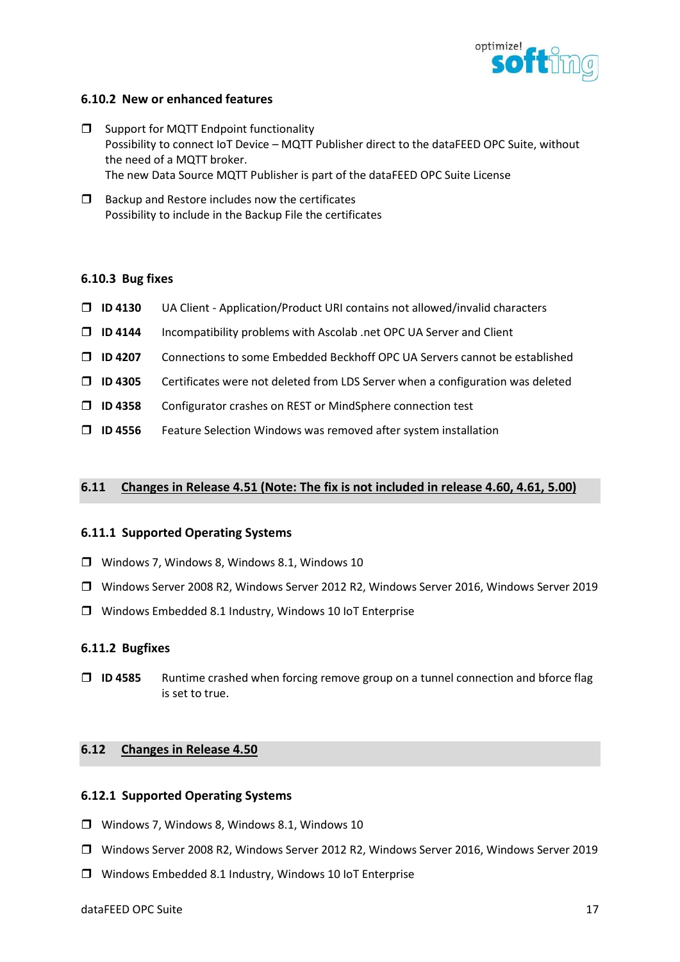

## 6.10.2 New or enhanced features

- $\Box$  Support for MQTT Endpoint functionality Possibility to connect IoT Device – MQTT Publisher direct to the dataFEED OPC Suite, without the need of a MQTT broker. The new Data Source MQTT Publisher is part of the dataFEED OPC Suite License
- $\Box$  Backup and Restore includes now the certificates Possibility to include in the Backup File the certificates

#### 6.10.3 Bug fixes

- $\Box$  ID 4130 UA Client Application/Product URI contains not allowed/invalid characters
- $\Box$  ID 4144 Incompatibility problems with Ascolab .net OPC UA Server and Client
- ID 4207 Connections to some Embedded Beckhoff OPC UA Servers cannot be established
- $\Box$  ID 4305 Certificates were not deleted from LDS Server when a configuration was deleted
- ID 4358 Configurator crashes on REST or MindSphere connection test
- $\Box$  ID 4556 Feature Selection Windows was removed after system installation

## 6.11 Changes in Release 4.51 (Note: The fix is not included in release 4.60, 4.61, 5.00)

#### 6.11.1 Supported Operating Systems

- Windows 7, Windows 8, Windows 8.1, Windows 10
- Windows Server 2008 R2, Windows Server 2012 R2, Windows Server 2016, Windows Server 2019
- Windows Embedded 8.1 Industry, Windows 10 IoT Enterprise

## 6.11.2 Bugfixes

 $\Box$  ID 4585 Runtime crashed when forcing remove group on a tunnel connection and bforce flag is set to true.

## 6.12 Changes in Release 4.50

#### 6.12.1 Supported Operating Systems

- Windows 7, Windows 8, Windows 8.1, Windows 10
- Windows Server 2008 R2, Windows Server 2012 R2, Windows Server 2016, Windows Server 2019
- Windows Embedded 8.1 Industry, Windows 10 IoT Enterprise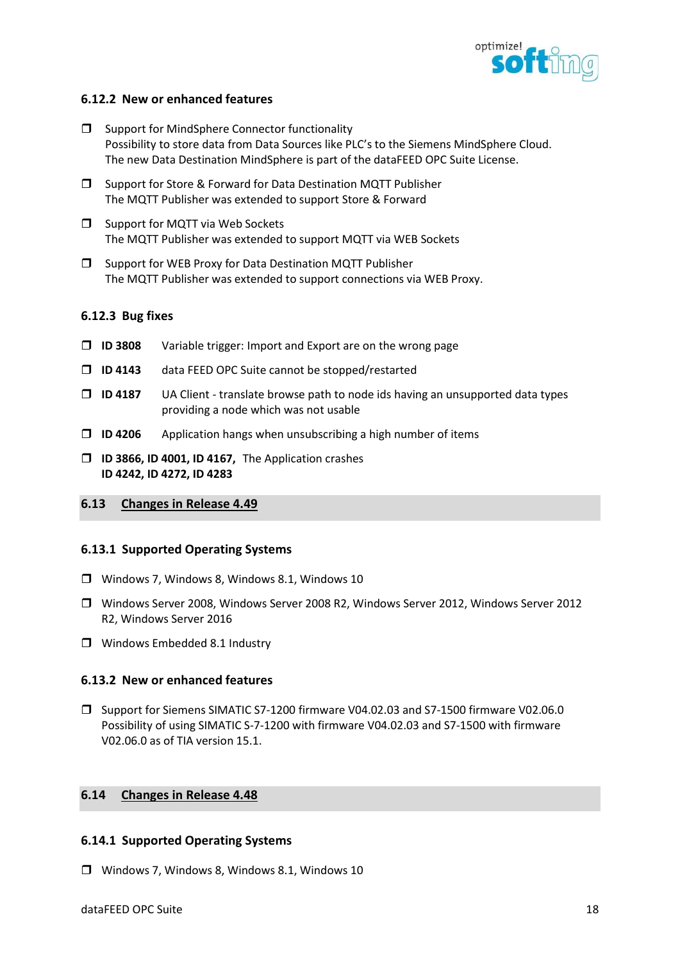

## 6.12.2 New or enhanced features

- $\square$  Support for MindSphere Connector functionality Possibility to store data from Data Sources like PLC's to the Siemens MindSphere Cloud. The new Data Destination MindSphere is part of the dataFEED OPC Suite License.
- $\square$  Support for Store & Forward for Data Destination MQTT Publisher The MQTT Publisher was extended to support Store & Forward
- $\Box$  Support for MQTT via Web Sockets The MQTT Publisher was extended to support MQTT via WEB Sockets
- $\square$  Support for WEB Proxy for Data Destination MQTT Publisher The MQTT Publisher was extended to support connections via WEB Proxy.

## 6.12.3 Bug fixes

- $\square$  ID 3808 Variable trigger: Import and Export are on the wrong page
- $\square$  ID 4143 data FEED OPC Suite cannot be stopped/restarted
- $\Box$  ID 4187 UA Client translate browse path to node ids having an unsupported data types providing a node which was not usable
- $\Box$  ID 4206 Application hangs when unsubscribing a high number of items
- $\Box$  ID 3866, ID 4001, ID 4167, The Application crashes ID 4242, ID 4272, ID 4283
- 6.13 Changes in Release 4.49

## 6.13.1 Supported Operating Systems

- Windows 7, Windows 8, Windows 8.1, Windows 10
- Windows Server 2008, Windows Server 2008 R2, Windows Server 2012, Windows Server 2012 R2, Windows Server 2016
- **U** Windows Embedded 8.1 Industry

## 6.13.2 New or enhanced features

 Support for Siemens SIMATIC S7-1200 firmware V04.02.03 and S7-1500 firmware V02.06.0 Possibility of using SIMATIC S-7-1200 with firmware V04.02.03 and S7-1500 with firmware V02.06.0 as of TIA version 15.1.

## 6.14 Changes in Release 4.48

## 6.14.1 Supported Operating Systems

Windows 7, Windows 8, Windows 8.1, Windows 10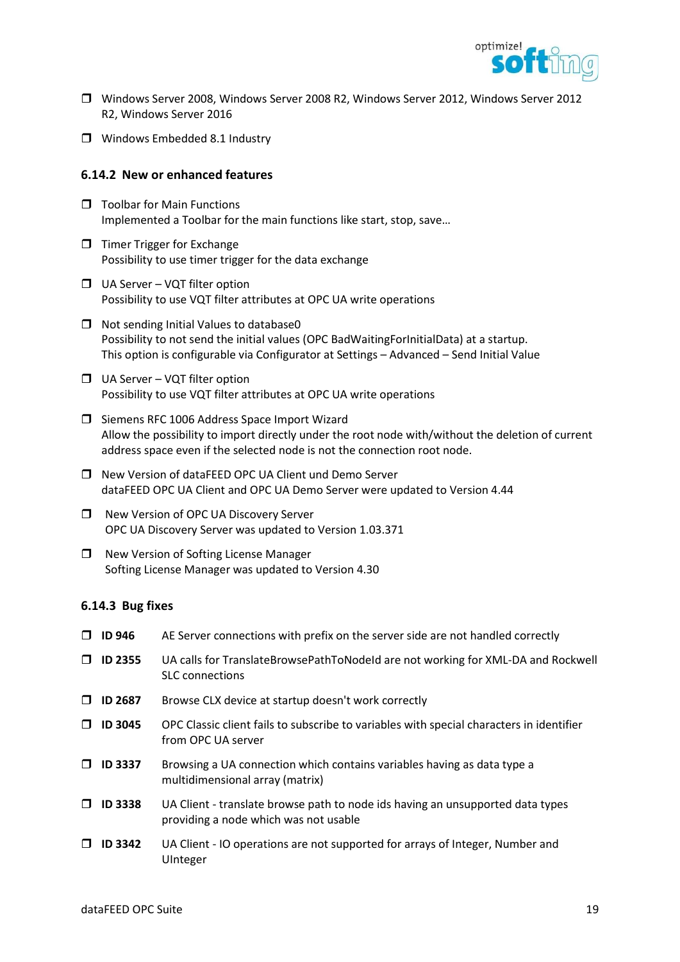

- Windows Server 2008, Windows Server 2008 R2, Windows Server 2012, Windows Server 2012 R2, Windows Server 2016
- Windows Embedded 8.1 Industry

#### 6.14.2 New or enhanced features

- $\Box$  Toolbar for Main Functions Implemented a Toolbar for the main functions like start, stop, save…
- $\Box$  Timer Trigger for Exchange Possibility to use timer trigger for the data exchange
- $\Box$  UA Server VQT filter option Possibility to use VQT filter attributes at OPC UA write operations
- $\Box$  Not sending Initial Values to database0 Possibility to not send the initial values (OPC BadWaitingForInitialData) at a startup. This option is configurable via Configurator at Settings – Advanced – Send Initial Value
- $\Box$  UA Server VQT filter option Possibility to use VQT filter attributes at OPC UA write operations
- □ Siemens RFC 1006 Address Space Import Wizard Allow the possibility to import directly under the root node with/without the deletion of current address space even if the selected node is not the connection root node.
- □ New Version of dataFEED OPC UA Client und Demo Server dataFEED OPC UA Client and OPC UA Demo Server were updated to Version 4.44
- □ New Version of OPC UA Discovery Server OPC UA Discovery Server was updated to Version 1.03.371
- □ New Version of Softing License Manager Softing License Manager was updated to Version 4.30

#### 6.14.3 Bug fixes

|        | $\Box$ ID 946  | AE Server connections with prefix on the server side are not handled correctly                                          |
|--------|----------------|-------------------------------------------------------------------------------------------------------------------------|
| $\Box$ | <b>ID 2355</b> | UA calls for TranslateBrowsePathToNodeId are not working for XML-DA and Rockwell<br><b>SLC</b> connections              |
| □      | <b>ID 2687</b> | Browse CLX device at startup doesn't work correctly                                                                     |
| $\Box$ | <b>ID 3045</b> | OPC Classic client fails to subscribe to variables with special characters in identifier<br>from OPC UA server          |
| $\Box$ | <b>ID 3337</b> | Browsing a UA connection which contains variables having as data type a<br>multidimensional array (matrix)              |
| $\Box$ | <b>ID 3338</b> | UA Client - translate browse path to node ids having an unsupported data types<br>providing a node which was not usable |
| $\Box$ | <b>ID 3342</b> | UA Client - IO operations are not supported for arrays of Integer, Number and<br>UInteger                               |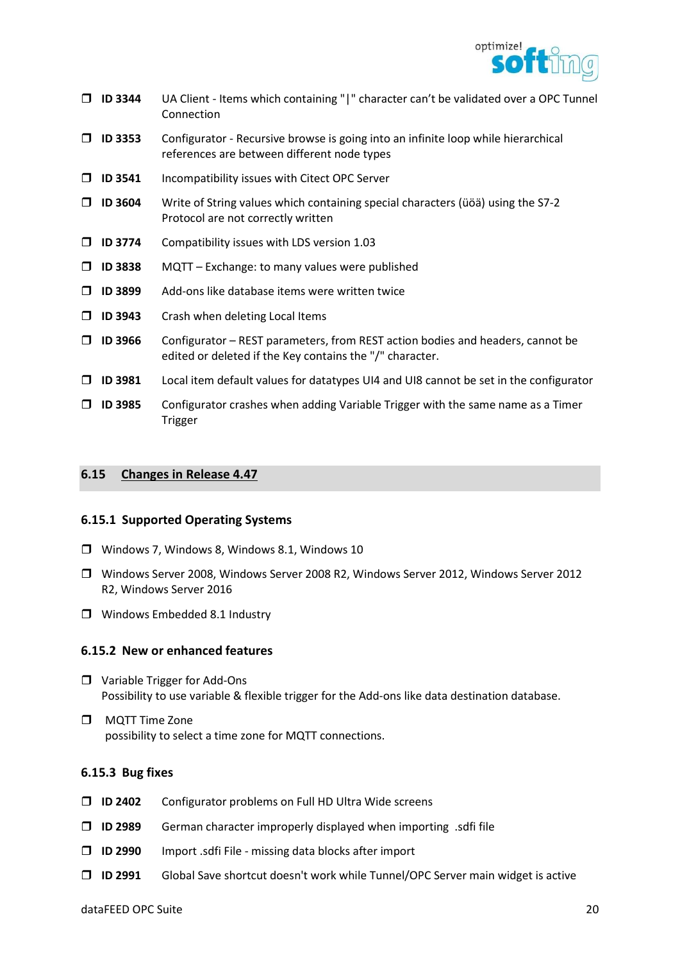

- ID 3344 UA Client Items which containing "|" character can't be validated over a OPC Tunnel Connection
- $\Box$  ID 3353 Configurator Recursive browse is going into an infinite loop while hierarchical references are between different node types
- $\Box$  ID 3541 Incompatibility issues with Citect OPC Server
- $\Box$  ID 3604 Write of String values which containing special characters (üöä) using the S7-2 Protocol are not correctly written
- $\square$  ID 3774 Compatibility issues with LDS version 1.03
- $\Box$  ID 3838 MQTT Exchange: to many values were published
- $\square$  ID 3899 Add-ons like database items were written twice
- **ID 3943** Crash when deleting Local Items
- $\Box$  ID 3966 Configurator REST parameters, from REST action bodies and headers, cannot be edited or deleted if the Key contains the "/" character.
- $\Box$  ID 3981 Local item default values for datatypes UI4 and UI8 cannot be set in the configurator
- $\Box$  ID 3985 Configurator crashes when adding Variable Trigger with the same name as a Timer Trigger

#### 6.15 Changes in Release 4.47

#### 6.15.1 Supported Operating Systems

- Windows 7, Windows 8, Windows 8.1, Windows 10
- Windows Server 2008, Windows Server 2008 R2, Windows Server 2012, Windows Server 2012 R2, Windows Server 2016
- **U** Windows Embedded 8.1 Industry

#### 6.15.2 New or enhanced features

- □ Variable Trigger for Add-Ons Possibility to use variable & flexible trigger for the Add-ons like data destination database.
- **D** MQTT Time Zone possibility to select a time zone for MQTT connections.

#### 6.15.3 Bug fixes

- $\Box$  ID 2402 Configurator problems on Full HD Ultra Wide screens
- $\square$  ID 2989 German character improperly displayed when importing .sdfi file
- $\Box$  ID 2990 Import .sdfi File missing data blocks after import
- ID 2991 Global Save shortcut doesn't work while Tunnel/OPC Server main widget is active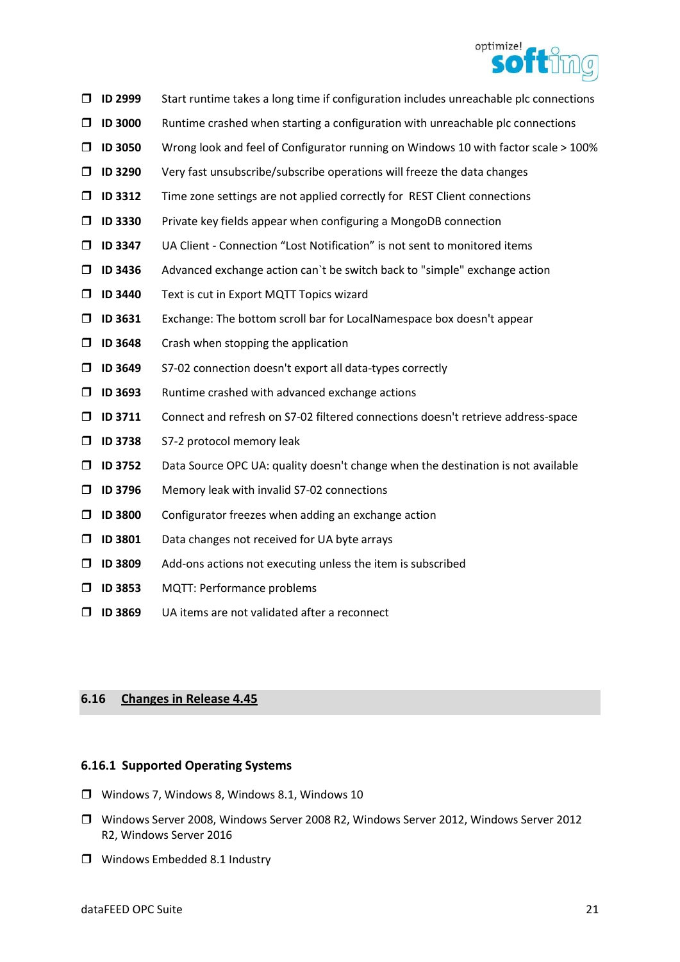

- $\Box$  ID 2999 Start runtime takes a long time if configuration includes unreachable plc connections
- $\Box$  ID 3000 Runtime crashed when starting a configuration with unreachable plc connections
- $\Box$  ID 3050 Wrong look and feel of Configurator running on Windows 10 with factor scale  $>$  100%
- $\Box$  ID 3290 Very fast unsubscribe/subscribe operations will freeze the data changes
- $\Box$  ID 3312 Time zone settings are not applied correctly for REST Client connections
- $\Box$  ID 3330 Private key fields appear when configuring a MongoDB connection
- $\Box$  ID 3347 UA Client Connection "Lost Notification" is not sent to monitored items
- $\Box$  ID 3436 Advanced exchange action can't be switch back to "simple" exchange action
- **ID 3440** Text is cut in Export MQTT Topics wizard
- ID 3631 Exchange: The bottom scroll bar for LocalNamespace box doesn't appear
- $\Box$  ID 3648 Crash when stopping the application
- ID 3649 S7-02 connection doesn't export all data-types correctly
- $\square$  ID 3693 Runtime crashed with advanced exchange actions
- ID 3711 Connect and refresh on S7-02 filtered connections doesn't retrieve address-space
- **ID 3738** S7-2 protocol memory leak
- $\Box$  ID 3752 Data Source OPC UA: quality doesn't change when the destination is not available
- $\Box$  ID 3796 Memory leak with invalid S7-02 connections
- $\square$  ID 3800 Configurator freezes when adding an exchange action
- $\Box$  ID 3801 Data changes not received for UA byte arrays
- $\square$  ID 3809 Add-ons actions not executing unless the item is subscribed
- **ID 3853** MQTT: Performance problems
- $\Box$  ID 3869 UA items are not validated after a reconnect

## 6.16 Changes in Release 4.45

## 6.16.1 Supported Operating Systems

- $\Box$  Windows 7, Windows 8, Windows 8.1, Windows 10
- Windows Server 2008, Windows Server 2008 R2, Windows Server 2012, Windows Server 2012 R2, Windows Server 2016
- **U** Windows Embedded 8.1 Industry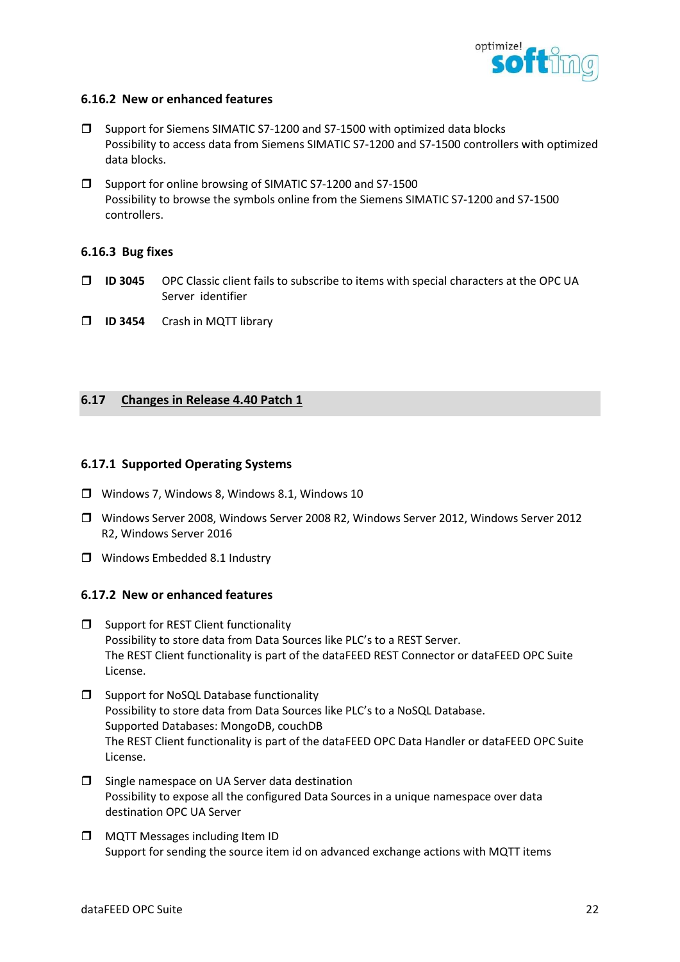

## 6.16.2 New or enhanced features

- □ Support for Siemens SIMATIC S7-1200 and S7-1500 with optimized data blocks Possibility to access data from Siemens SIMATIC S7-1200 and S7-1500 controllers with optimized data blocks.
- □ Support for online browsing of SIMATIC S7-1200 and S7-1500 Possibility to browse the symbols online from the Siemens SIMATIC S7-1200 and S7-1500 controllers.

## 6.16.3 Bug fixes

- ID 3045 OPC Classic client fails to subscribe to items with special characters at the OPC UA Server identifier
- **ID 3454** Crash in MQTT library

# 6.17 Changes in Release 4.40 Patch 1

## 6.17.1 Supported Operating Systems

- Windows 7, Windows 8, Windows 8.1, Windows 10
- Windows Server 2008, Windows Server 2008 R2, Windows Server 2012, Windows Server 2012 R2, Windows Server 2016
- **U** Windows Embedded 8.1 Industry

## 6.17.2 New or enhanced features

- $\square$  Support for REST Client functionality Possibility to store data from Data Sources like PLC's to a REST Server. The REST Client functionality is part of the dataFEED REST Connector or dataFEED OPC Suite License.
- **J** Support for NoSQL Database functionality Possibility to store data from Data Sources like PLC's to a NoSQL Database. Supported Databases: MongoDB, couchDB The REST Client functionality is part of the dataFEED OPC Data Handler or dataFEED OPC Suite License.
- $\Box$  Single namespace on UA Server data destination Possibility to expose all the configured Data Sources in a unique namespace over data destination OPC UA Server
- **D** MQTT Messages including Item ID Support for sending the source item id on advanced exchange actions with MQTT items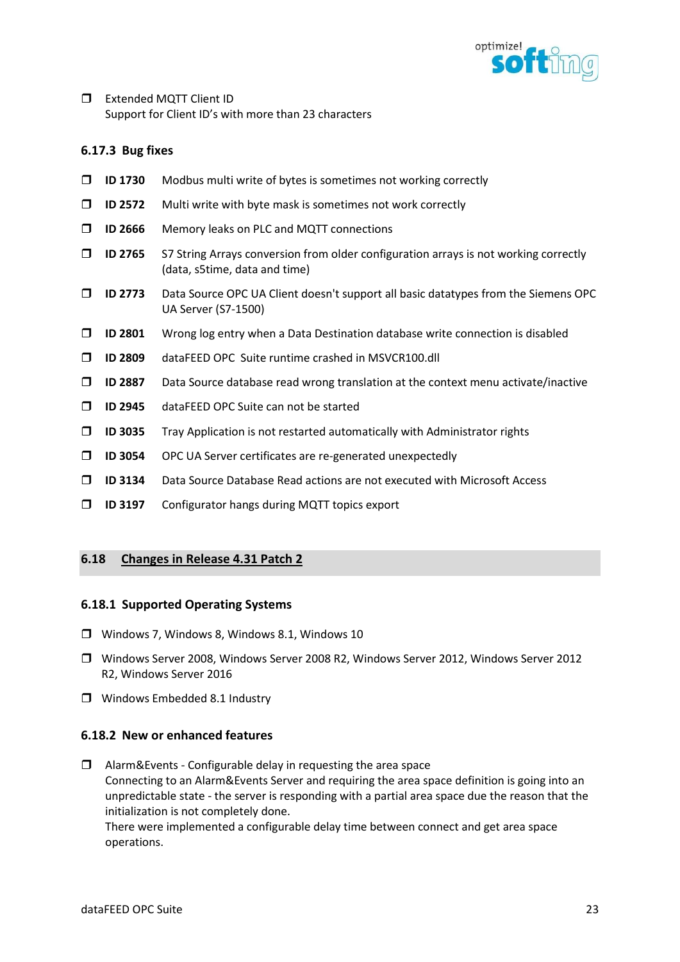

**Extended MOTT Client ID** Support for Client ID's with more than 23 characters

## 6.17.3 Bug fixes

- $\Box$  ID 1730 Modbus multi write of bytes is sometimes not working correctly
- $\Box$  ID 2572 Multi write with byte mask is sometimes not work correctly
- **ID 2666** Memory leaks on PLC and MQTT connections
- $\Box$  ID 2765 S7 String Arrays conversion from older configuration arrays is not working correctly (data, s5time, data and time)
- $\Box$  ID 2773 Data Source OPC UA Client doesn't support all basic datatypes from the Siemens OPC UA Server (S7-1500)
- $\Box$  ID 2801 Wrong log entry when a Data Destination database write connection is disabled
- ID 2809 dataFEED OPC Suite runtime crashed in MSVCR100.dll
- $\Box$  ID 2887 Data Source database read wrong translation at the context menu activate/inactive
- **ID 2945** dataFEED OPC Suite can not be started
- $\Box$  ID 3035 Tray Application is not restarted automatically with Administrator rights
- ID 3054 OPC UA Server certificates are re-generated unexpectedly
- ID 3134 Data Source Database Read actions are not executed with Microsoft Access
- ID 3197 Configurator hangs during MQTT topics export

## 6.18 Changes in Release 4.31 Patch 2

## 6.18.1 Supported Operating Systems

- Windows 7, Windows 8, Windows 8.1, Windows 10
- Windows Server 2008, Windows Server 2008 R2, Windows Server 2012, Windows Server 2012 R2, Windows Server 2016
- Windows Embedded 8.1 Industry

## 6.18.2 New or enhanced features

 $\Box$  Alarm&Events - Configurable delay in requesting the area space Connecting to an Alarm&Events Server and requiring the area space definition is going into an unpredictable state - the server is responding with a partial area space due the reason that the initialization is not completely done. There were implemented a configurable delay time between connect and get area space

operations.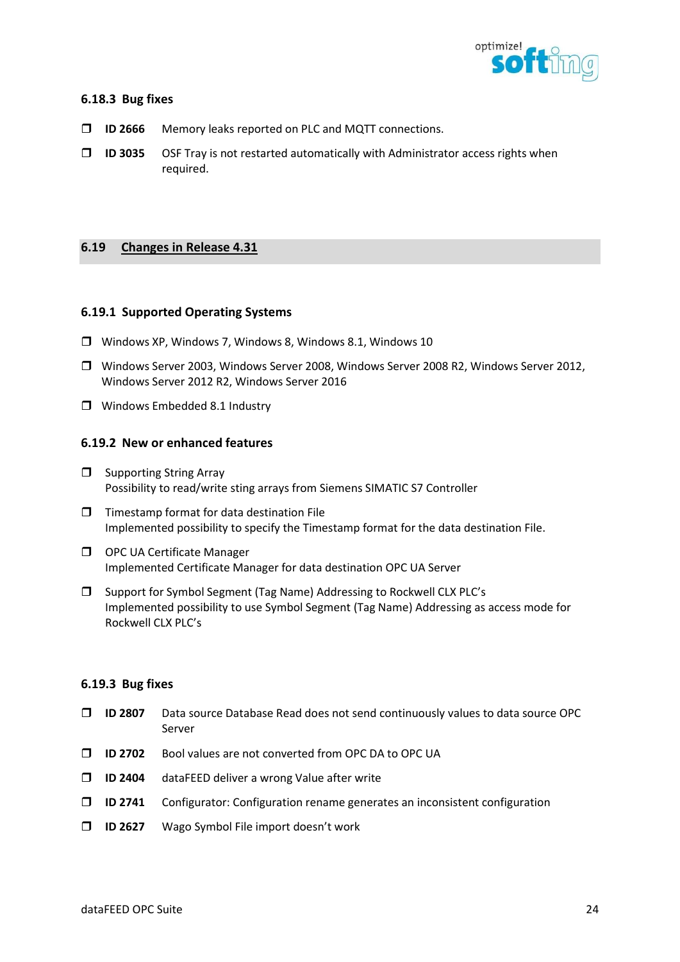

## 6.18.3 Bug fixes

- ID 2666 Memory leaks reported on PLC and MQTT connections.
- $\Box$  ID 3035 OSF Tray is not restarted automatically with Administrator access rights when required.

## 6.19 Changes in Release 4.31

#### 6.19.1 Supported Operating Systems

- Windows XP, Windows 7, Windows 8, Windows 8.1, Windows 10
- Windows Server 2003, Windows Server 2008, Windows Server 2008 R2, Windows Server 2012, Windows Server 2012 R2, Windows Server 2016
- **I** Windows Embedded 8.1 Industry

#### 6.19.2 New or enhanced features

- $\Box$  Supporting String Array Possibility to read/write sting arrays from Siemens SIMATIC S7 Controller
- $\Box$  Timestamp format for data destination File Implemented possibility to specify the Timestamp format for the data destination File.
- O OPC UA Certificate Manager Implemented Certificate Manager for data destination OPC UA Server
- □ Support for Symbol Segment (Tag Name) Addressing to Rockwell CLX PLC's Implemented possibility to use Symbol Segment (Tag Name) Addressing as access mode for Rockwell CLX PLC's

#### 6.19.3 Bug fixes

- $\Box$  ID 2807 Data source Database Read does not send continuously values to data source OPC Server
- ID 2702 Bool values are not converted from OPC DA to OPC UA
- $\Box$  ID 2404 dataFEED deliver a wrong Value after write
- $\Box$  ID 2741 Configurator: Configuration rename generates an inconsistent configuration
- **ID 2627** Wago Symbol File import doesn't work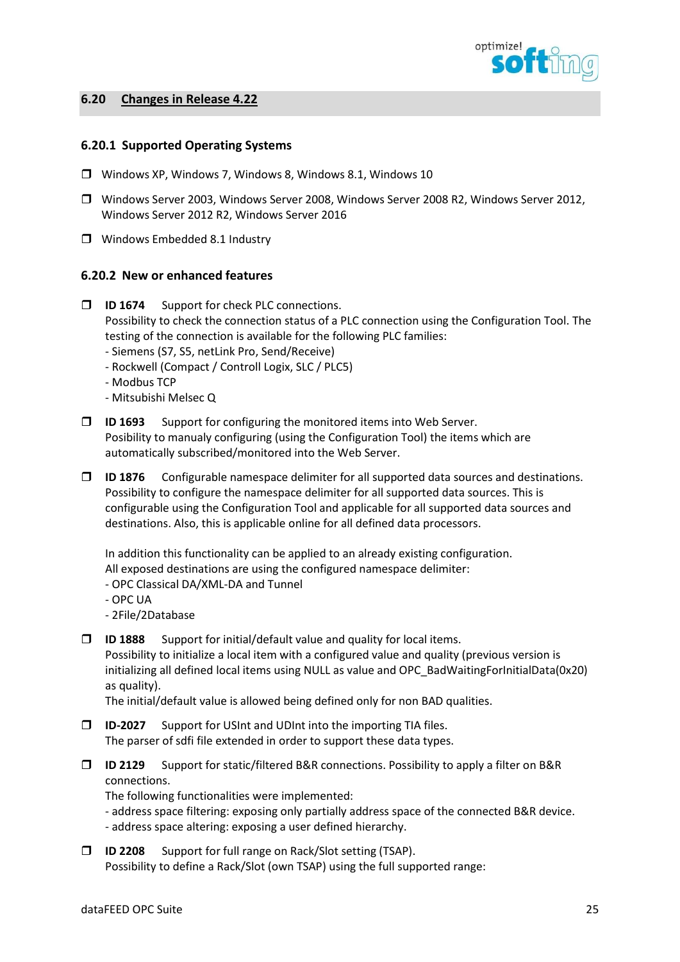

## 6.20 Changes in Release 4.22

## 6.20.1 Supported Operating Systems

- Windows XP, Windows 7, Windows 8, Windows 8.1, Windows 10
- Windows Server 2003, Windows Server 2008, Windows Server 2008 R2, Windows Server 2012, Windows Server 2012 R2, Windows Server 2016
- **I** Windows Embedded 8.1 Industry

## 6.20.2 New or enhanced features

- **ID 1674** Support for check PLC connections. Possibility to check the connection status of a PLC connection using the Configuration Tool. The testing of the connection is available for the following PLC families:
	- Siemens (S7, S5, netLink Pro, Send/Receive)
	- Rockwell (Compact / Controll Logix, SLC / PLC5)
	- Modbus TCP
	- Mitsubishi Melsec Q
- $\Box$  ID 1693 Support for configuring the monitored items into Web Server. Posibility to manualy configuring (using the Configuration Tool) the items which are automatically subscribed/monitored into the Web Server.
- $\Box$  ID 1876 Configurable namespace delimiter for all supported data sources and destinations. Possibility to configure the namespace delimiter for all supported data sources. This is configurable using the Configuration Tool and applicable for all supported data sources and destinations. Also, this is applicable online for all defined data processors.

In addition this functionality can be applied to an already existing configuration.

All exposed destinations are using the configured namespace delimiter:

- OPC Classical DA/XML-DA and Tunnel
- OPC UA
- 2File/2Database
- $\square$  ID 1888 Support for initial/default value and quality for local items. Possibility to initialize a local item with a configured value and quality (previous version is initializing all defined local items using NULL as value and OPC\_BadWaitingForInitialData(0x20) as quality).

The initial/default value is allowed being defined only for non BAD qualities.

- ID-2027 Support for USInt and UDInt into the importing TIA files. The parser of sdfi file extended in order to support these data types.
- $\Box$  ID 2129 Support for static/filtered B&R connections. Possibility to apply a filter on B&R connections.

The following functionalities were implemented:

- address space filtering: exposing only partially address space of the connected B&R device.

- address space altering: exposing a user defined hierarchy.
- ID 2208 Support for full range on Rack/Slot setting (TSAP). Possibility to define a Rack/Slot (own TSAP) using the full supported range: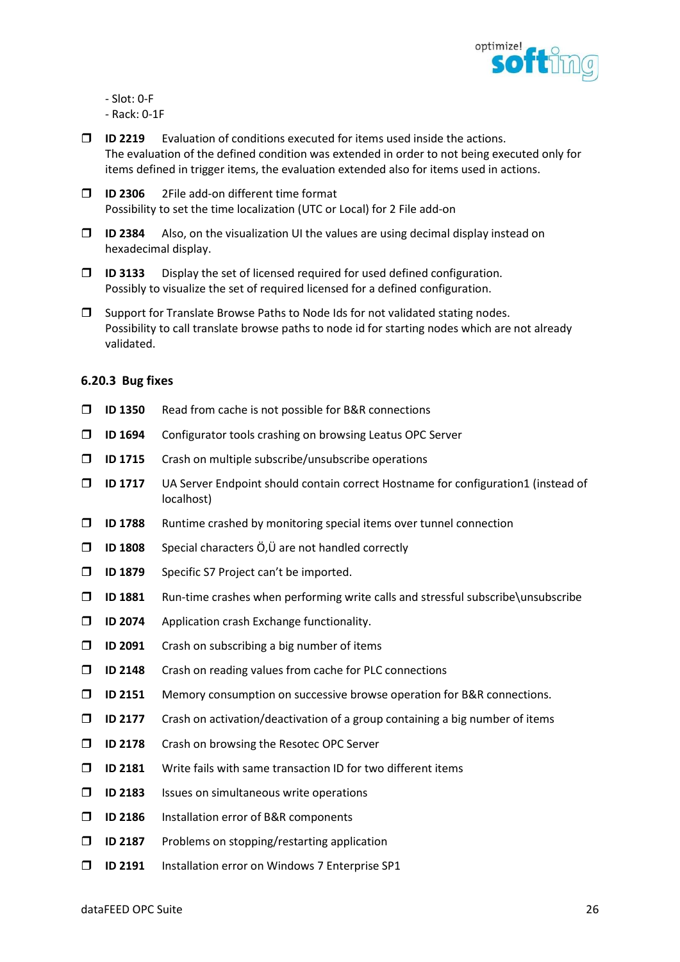

- Slot: 0-F
- Rack: 0-1F
- $\Box$  ID 2219 Evaluation of conditions executed for items used inside the actions. The evaluation of the defined condition was extended in order to not being executed only for items defined in trigger items, the evaluation extended also for items used in actions.
- ID 2306 2File add-on different time format Possibility to set the time localization (UTC or Local) for 2 File add-on
- $\Box$  ID 2384 Also, on the visualization UI the values are using decimal display instead on hexadecimal display.
- $\Box$  ID 3133 Display the set of licensed required for used defined configuration. Possibly to visualize the set of required licensed for a defined configuration.
- $\square$  Support for Translate Browse Paths to Node Ids for not validated stating nodes. Possibility to call translate browse paths to node id for starting nodes which are not already validated.

## 6.20.3 Bug fixes

- $\Box$  ID 1350 Read from cache is not possible for B&R connections
- ID 1694 Configurator tools crashing on browsing Leatus OPC Server
- $\square$  ID 1715 Crash on multiple subscribe/unsubscribe operations
- ID 1717 UA Server Endpoint should contain correct Hostname for configuration1 (instead of localhost)
- $\Box$  ID 1788 Runtime crashed by monitoring special items over tunnel connection
- $\Box$  ID 1808 Special characters Ö, Ü are not handled correctly
- **ID 1879** Specific S7 Project can't be imported.
- $\square$  ID 1881 Run-time crashes when performing write calls and stressful subscribe\unsubscribe
- $\Box$  ID 2074 Application crash Exchange functionality.
- $\square$  ID 2091 Crash on subscribing a big number of items
- $\Box$  ID 2148 Crash on reading values from cache for PLC connections
- ID 2151 Memory consumption on successive browse operation for B&R connections.
- $\Box$  ID 2177 Crash on activation/deactivation of a group containing a big number of items
- **ID 2178** Crash on browsing the Resotec OPC Server
- $\square$  ID 2181 Write fails with same transaction ID for two different items
- $\square$  ID 2183 Issues on simultaneous write operations
- **ID 2186** Installation error of B&R components
- $\square$  ID 2187 Problems on stopping/restarting application
- ID 2191 Installation error on Windows 7 Enterprise SP1